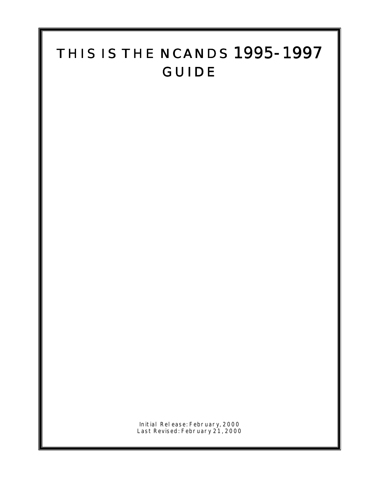# THIS IS THE NCANDS 1995-1997 GUIDE

Initial Release: February, 2000 Last Revised: February 21, 2000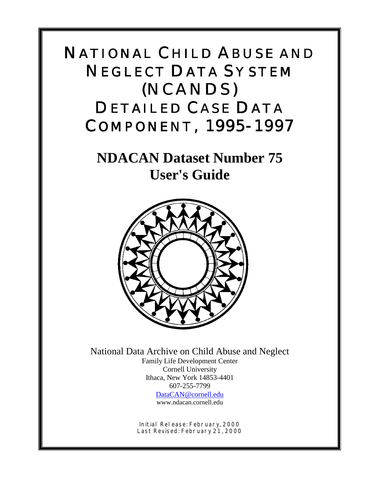# (NCANDS) COMPONENT, 1995-1997 NATIONAL CHILD ABUSE AND NEGLECT DATA SYSTEM DETAILED CASE DATA

**NDACAN Dataset Number 75 User's Guide**



National Data Archive on Child Abuse and Neglect Family Life Development Center Cornell University Ithaca, New York 14853-4401 607-255-7799 [DataCAN@cornell.edu](mailto:DataCAN@cornell.edu)

www.ndacan.cornell.edu

Initial Release: February, 2000 Last Revised: February 21, 2000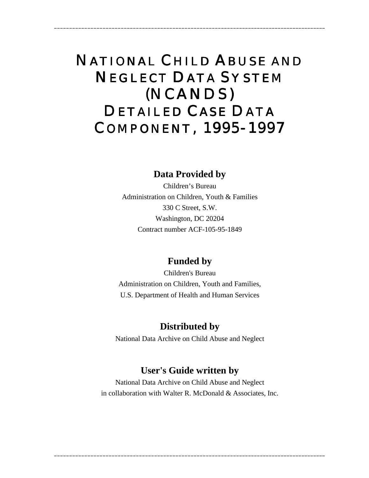# (NCANDS) COMPONENT, 1995-1997 NATIONAL CHILD ABUSE AND NEGLECT DATA SYSTEM DETAILED CASE DATA

\_\_\_\_\_\_\_\_\_\_\_\_\_\_\_\_\_\_\_\_\_\_\_\_\_\_\_\_\_\_\_\_\_\_\_\_\_\_\_\_\_\_\_\_\_\_\_\_\_\_\_\_\_\_\_\_\_\_\_\_\_\_\_\_\_\_\_\_\_\_\_\_\_\_\_\_\_\_\_\_\_\_\_\_\_\_\_\_\_\_

## **Data Provided by**

Children's Bureau Administration on Children, Youth & Families 330 C Street, S.W. Washington, DC 20204 Contract number ACF-105-95-1849

## **Funded by**

Children's Bureau Administration on Children, Youth and Families, U.S. Department of Health and Human Services

## **Distributed by**

National Data Archive on Child Abuse and Neglect

## **User's Guide written by**

National Data Archive on Child Abuse and Neglect in collaboration with Walter R. McDonald & Associates, Inc.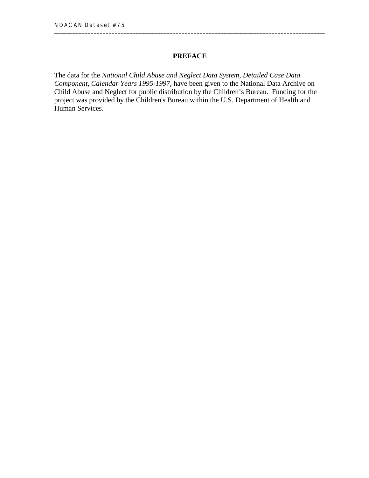#### **PREFACE**

The data for the *National Child Abuse and Neglect Data System, Detailed Case Data Component, Calendar Years 1995-1997,* have been given to the National Data Archive on Child Abuse and Neglect for public distribution by the Children's Bureau. Funding for the project was provided by the Children's Bureau within the U.S. Department of Health and Human Services.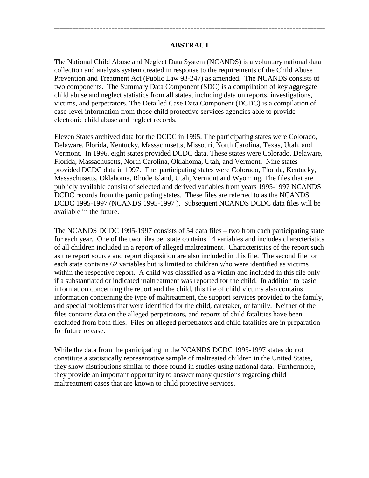#### **ABSTRACT**

\_\_\_\_\_\_\_\_\_\_\_\_\_\_\_\_\_\_\_\_\_\_\_\_\_\_\_\_\_\_\_\_\_\_\_\_\_\_\_\_\_\_\_\_\_\_\_\_\_\_\_\_\_\_\_\_\_\_\_\_\_\_\_\_\_\_\_\_\_\_\_\_\_\_\_\_\_\_\_\_\_\_\_\_\_\_\_\_\_\_

The National Child Abuse and Neglect Data System (NCANDS) is a voluntary national data collection and analysis system created in response to the requirements of the Child Abuse Prevention and Treatment Act (Public Law 93-247) as amended. The NCANDS consists of two components. The Summary Data Component (SDC) is a compilation of key aggregate child abuse and neglect statistics from all states, including data on reports, investigations, victims, and perpetrators. The Detailed Case Data Component (DCDC) is a compilation of case-level information from those child protective services agencies able to provide electronic child abuse and neglect records.

Eleven States archived data for the DCDC in 1995. The participating states were Colorado, Delaware, Florida, Kentucky, Massachusetts, Missouri, North Carolina, Texas, Utah, and Vermont. In 1996, eight states provided DCDC data. These states were Colorado, Delaware, Florida, Massachusetts, North Carolina, Oklahoma, Utah, and Vermont. Nine states provided DCDC data in 1997. The participating states were Colorado, Florida, Kentucky, Massachusetts, Oklahoma, Rhode Island, Utah, Vermont and Wyoming. The files that are publicly available consist of selected and derived variables from years 1995-1997 NCANDS DCDC records from the participating states. These files are referred to as the NCANDS DCDC 1995-1997 (NCANDS 1995-1997 ). Subsequent NCANDS DCDC data files will be available in the future.

The NCANDS DCDC 1995-1997 consists of 54 data files – two from each participating state for each year. One of the two files per state contains 14 variables and includes characteristics of all children included in a report of alleged maltreatment. Characteristics of the report such as the report source and report disposition are also included in this file. The second file for each state contains 62 variables but is limited to children who were identified as victims within the respective report. A child was classified as a victim and included in this file only if a substantiated or indicated maltreatment was reported for the child. In addition to basic information concerning the report and the child, this file of child victims also contains information concerning the type of maltreatment, the support services provided to the family, and special problems that were identified for the child, caretaker, or family. Neither of the files contains data on the alleged perpetrators, and reports of child fatalities have been excluded from both files. Files on alleged perpetrators and child fatalities are in preparation for future release.

While the data from the participating in the NCANDS DCDC 1995-1997 states do not constitute a statistically representative sample of maltreated children in the United States, they show distributions similar to those found in studies using national data. Furthermore, they provide an important opportunity to answer many questions regarding child maltreatment cases that are known to child protective services.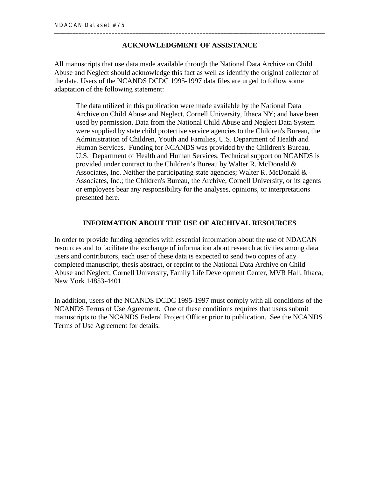#### **ACKNOWLEDGMENT OF ASSISTANCE**

All manuscripts that use data made available through the National Data Archive on Child Abuse and Neglect should acknowledge this fact as well as identify the original collector of the data. Users of the NCANDS DCDC 1995-1997 data files are urged to follow some adaptation of the following statement:

The data utilized in this publication were made available by the National Data Archive on Child Abuse and Neglect, Cornell University, Ithaca NY; and have been used by permission. Data from the National Child Abuse and Neglect Data System were supplied by state child protective service agencies to the Children's Bureau, the Administration of Children, Youth and Families, U.S. Department of Health and Human Services. Funding for NCANDS was provided by the Children's Bureau, U.S. Department of Health and Human Services. Technical support on NCANDS is provided under contract to the Children's Bureau by Walter R. McDonald & Associates, Inc. Neither the participating state agencies; Walter R. McDonald  $\&$ Associates, Inc.; the Children's Bureau, the Archive, Cornell University, or its agents or employees bear any responsibility for the analyses, opinions, or interpretations presented here.

#### **INFORMATION ABOUT THE USE OF ARCHIVAL RESOURCES**

In order to provide funding agencies with essential information about the use of NDACAN resources and to facilitate the exchange of information about research activities among data users and contributors, each user of these data is expected to send two copies of any completed manuscript, thesis abstract, or reprint to the National Data Archive on Child Abuse and Neglect, Cornell University, Family Life Development Center, MVR Hall, Ithaca, New York 14853-4401.

In addition, users of the NCANDS DCDC 1995-1997 must comply with all conditions of the NCANDS Terms of Use Agreement. One of these conditions requires that users submit manuscripts to the NCANDS Federal Project Officer prior to publication. See the NCANDS Terms of Use Agreement for details.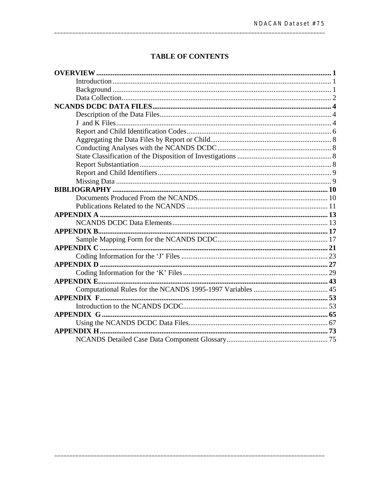#### **TABLE OF CONTENTS**

| <b>APPENDIX B</b> |  |
|-------------------|--|
|                   |  |
| <b>APPENDIX C</b> |  |
|                   |  |
|                   |  |
|                   |  |
|                   |  |
|                   |  |
|                   |  |
|                   |  |
| APPENDIX G        |  |
|                   |  |
|                   |  |
|                   |  |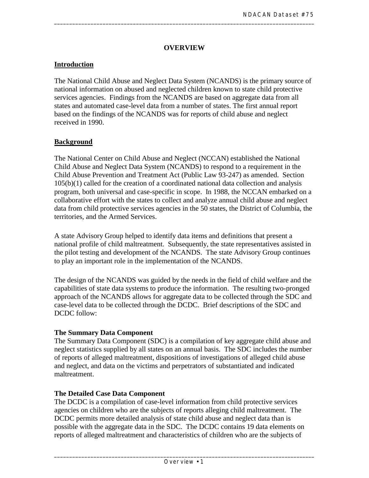#### **OVERVIEW**

<span id="page-10-0"></span>\_\_\_\_\_\_\_\_\_\_\_\_\_\_\_\_\_\_\_\_\_\_\_\_\_\_\_\_\_\_\_\_\_\_\_\_\_\_\_\_\_\_\_\_\_\_\_\_\_\_\_\_\_\_\_\_\_\_\_\_\_\_\_\_\_\_\_\_\_\_\_\_\_\_\_\_\_\_\_\_\_\_\_\_\_\_

#### **Introduction**

The National Child Abuse and Neglect Data System (NCANDS) is the primary source of national information on abused and neglected children known to state child protective services agencies. Findings from the NCANDS are based on aggregate data from all states and automated case-level data from a number of states. The first annual report based on the findings of the NCANDS was for reports of child abuse and neglect received in 1990.

#### **Background**

The National Center on Child Abuse and Neglect (NCCAN) established the National Child Abuse and Neglect Data System (NCANDS) to respond to a requirement in the Child Abuse Prevention and Treatment Act (Public Law 93-247) as amended. Section 105(b)(1) called for the creation of a coordinated national data collection and analysis program, both universal and case-specific in scope. In 1988, the NCCAN embarked on a collaborative effort with the states to collect and analyze annual child abuse and neglect data from child protective services agencies in the 50 states, the District of Columbia, the territories, and the Armed Services.

A state Advisory Group helped to identify data items and definitions that present a national profile of child maltreatment. Subsequently, the state representatives assisted in the pilot testing and development of the NCANDS. The state Advisory Group continues to play an important role in the implementation of the NCANDS.

The design of the NCANDS was guided by the needs in the field of child welfare and the capabilities of state data systems to produce the information. The resulting two-pronged approach of the NCANDS allows for aggregate data to be collected through the SDC and case-level data to be collected through the DCDC. Brief descriptions of the SDC and DCDC follow:

#### **The Summary Data Component**

The Summary Data Component (SDC) is a compilation of key aggregate child abuse and neglect statistics supplied by all states on an annual basis. The SDC includes the number of reports of alleged maltreatment, dispositions of investigations of alleged child abuse and neglect, and data on the victims and perpetrators of substantiated and indicated maltreatment.

#### **The Detailed Case Data Component**

The DCDC is a compilation of case-level information from child protective services agencies on children who are the subjects of reports alleging child maltreatment. The DCDC permits more detailed analysis of state child abuse and neglect data than is possible with the aggregate data in the SDC. The DCDC contains 19 data elements on reports of alleged maltreatment and characteristics of children who are the subjects of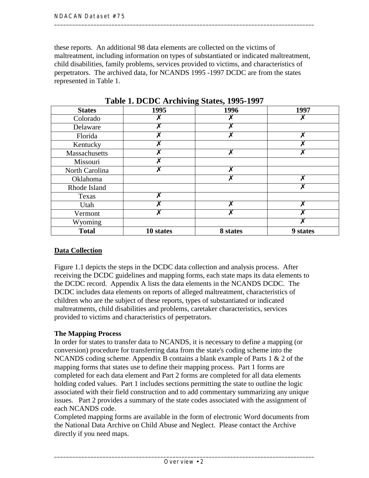<span id="page-11-0"></span>these reports. An additional 98 data elements are collected on the victims of maltreatment, including information on types of substantiated or indicated maltreatment, child disabilities, family problems, services provided to victims, and characteristics of perpetrators. The archived data, for NCANDS 1995 -1997 DCDC are from the states represented in Table 1.

| <b>States</b>  | 1995      | 1996                      | 1997     |
|----------------|-----------|---------------------------|----------|
| Colorado       |           |                           |          |
| Delaware       |           | Х                         |          |
| Florida        |           | X                         |          |
| Kentucky       |           |                           |          |
| Massachusetts  |           | $\boldsymbol{\mathsf{x}}$ |          |
| Missouri       |           |                           |          |
| North Carolina |           | X                         |          |
| Oklahoma       |           | Х                         |          |
| Rhode Island   |           |                           |          |
| Texas          |           |                           |          |
| Utah           |           | v                         |          |
| Vermont        |           | X                         |          |
| Wyoming        |           |                           |          |
| <b>Total</b>   | 10 states | 8 states                  | 9 states |

**Table 1. DCDC Archiving States, 1995-1997** 

### **Data Collection**

Figure 1.1 depicts the steps in the DCDC data collection and analysis process. After receiving the DCDC guidelines and mapping forms, each state maps its data elements to the DCDC record. Appendix A lists the data elements in the NCANDS DCDC. The DCDC includes data elements on reports of alleged maltreatment, characteristics of children who are the subject of these reports, types of substantiated or indicated maltreatments, child disabilities and problems, caretaker characteristics, services provided to victims and characteristics of perpetrators.

#### **The Mapping Process**

In order for states to transfer data to NCANDS, it is necessary to define a mapping (or conversion) procedure for transferring data from the state's coding scheme into the NCANDS coding scheme. Appendix B contains a blank example of Parts 1 & 2 of the mapping forms that states use to define their mapping process. Part 1 forms are completed for each data element and Part 2 forms are completed for all data elements holding coded values. Part 1 includes sections permitting the state to outline the logic associated with their field construction and to add commentary summarizing any unique issues. Part 2 provides a summary of the state codes associated with the assignment of each NCANDS code.

Completed mapping forms are available in the form of electronic Word documents from the National Data Archive on Child Abuse and Neglect. Please contact the Archive directly if you need maps.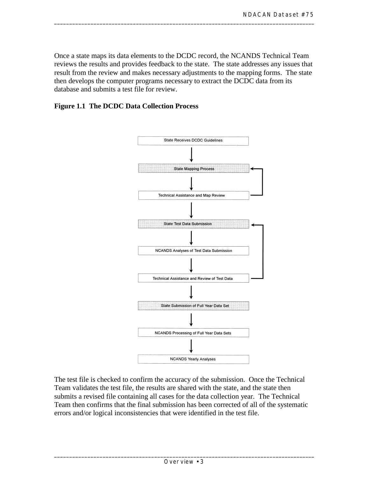Once a state maps its data elements to the DCDC record, the NCANDS Technical Team reviews the results and provides feedback to the state. The state addresses any issues that result from the review and makes necessary adjustments to the mapping forms. The state then develops the computer programs necessary to extract the DCDC data from its database and submits a test file for review.

\_\_\_\_\_\_\_\_\_\_\_\_\_\_\_\_\_\_\_\_\_\_\_\_\_\_\_\_\_\_\_\_\_\_\_\_\_\_\_\_\_\_\_\_\_\_\_\_\_\_\_\_\_\_\_\_\_\_\_\_\_\_\_\_\_\_\_\_\_\_\_\_\_\_\_\_\_\_\_\_\_\_\_\_\_\_

#### **Figure 1.1 The DCDC Data Collection Process**



The test file is checked to confirm the accuracy of the submission. Once the Technical Team validates the test file, the results are shared with the state, and the state then submits a revised file containing all cases for the data collection year. The Technical Team then confirms that the final submission has been corrected of all of the systematic errors and/or logical inconsistencies that were identified in the test file.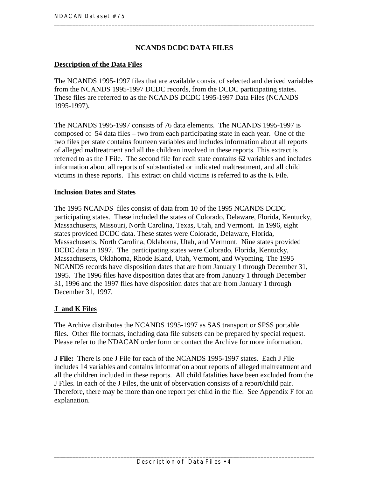#### **NCANDS DCDC DATA FILES**

#### <span id="page-13-0"></span>**Description of the Data Files**

The NCANDS 1995-1997 files that are available consist of selected and derived variables from the NCANDS 1995-1997 DCDC records, from the DCDC participating states. These files are referred to as the NCANDS DCDC 1995-1997 Data Files (NCANDS 1995-1997).

The NCANDS 1995-1997 consists of 76 data elements. The NCANDS 1995-1997 is composed of 54 data files – two from each participating state in each year. One of the two files per state contains fourteen variables and includes information about all reports of alleged maltreatment and all the children involved in these reports. This extract is referred to as the J File. The second file for each state contains 62 variables and includes information about all reports of substantiated or indicated maltreatment, and all child victims in these reports. This extract on child victims is referred to as the K File.

#### **Inclusion Dates and States**

The 1995 NCANDS files consist of data from 10 of the 1995 NCANDS DCDC participating states. These included the states of Colorado, Delaware, Florida, Kentucky, Massachusetts, Missouri, North Carolina, Texas, Utah, and Vermont. In 1996, eight states provided DCDC data. These states were Colorado, Delaware, Florida, Massachusetts, North Carolina, Oklahoma, Utah, and Vermont. Nine states provided DCDC data in 1997. The participating states were Colorado, Florida, Kentucky, Massachusetts, Oklahoma, Rhode Island, Utah, Vermont, and Wyoming. The 1995 NCANDS records have disposition dates that are from January 1 through December 31, 1995. The 1996 files have disposition dates that are from January 1 through December 31, 1996 and the 1997 files have disposition dates that are from January 1 through December 31, 1997.

#### **J and K Files**

The Archive distributes the NCANDS 1995-1997 as SAS transport or SPSS portable files. Other file formats, including data file subsets can be prepared by special request. Please refer to the NDACAN order form or contact the Archive for more information.

**J File:** There is one J File for each of the NCANDS 1995-1997 states. Each J File includes 14 variables and contains information about reports of alleged maltreatment and all the children included in these reports. All child fatalities have been excluded from the J Files. In each of the J Files, the unit of observation consists of a report/child pair. Therefore, there may be more than one report per child in the file. See Appendix F for an explanation.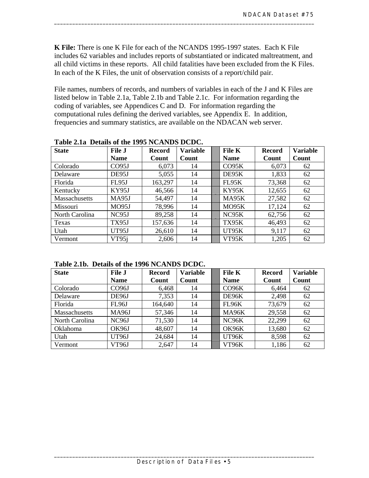**K File:** There is one K File for each of the NCANDS 1995-1997 states. Each K File includes 62 variables and includes reports of substantiated or indicated maltreatment, and all child victims in these reports. All child fatalities have been excluded from the K Files. In each of the K Files, the unit of observation consists of a report/child pair.

\_\_\_\_\_\_\_\_\_\_\_\_\_\_\_\_\_\_\_\_\_\_\_\_\_\_\_\_\_\_\_\_\_\_\_\_\_\_\_\_\_\_\_\_\_\_\_\_\_\_\_\_\_\_\_\_\_\_\_\_\_\_\_\_\_\_\_\_\_\_\_\_\_\_\_\_\_\_\_\_\_\_\_\_\_\_

File names, numbers of records, and numbers of variables in each of the J and K Files are listed below in Table 2.1a, Table 2.1b and Table 2.1c. For information regarding the coding of variables, see Appendices C and D. For information regarding the computational rules defining the derived variables, see Appendix E. In addition, frequencies and summary statistics, are available on the NDACAN web server.

| <b>State</b>         | <b>File J</b>     | <b>Variable</b><br>File K<br><b>Record</b> |       | <b>Record</b> | <b>Variable</b> |       |
|----------------------|-------------------|--------------------------------------------|-------|---------------|-----------------|-------|
|                      | <b>Name</b>       | Count                                      | Count | <b>Name</b>   | Count           | Count |
| Colorado             | CO <sub>95J</sub> | 6,073                                      | 14    | CO95K         | 6,073           | 62    |
| Delaware             | DE95J             | 5,055                                      | 14    | DE95K         | 1,833           | 62    |
| Florida              | <b>FL95J</b>      | 163,297                                    | 14    | FL95K         | 73,368          | 62    |
| Kentucky             | KY95J             | 46,566                                     | 14    | <b>KY95K</b>  | 12,655          | 62    |
| <b>Massachusetts</b> | MA95J             | 54,497                                     | 14    | MA95K         | 27,582          | 62    |
| Missouri             | MO95J             | 78,996                                     | 14    | MO95K         | 17,124          | 62    |
| North Carolina       | NC95J             | 89,258                                     | 14    | NC95K         | 62,756          | 62    |
| Texas                | TX95J             | 157,636                                    | 14    | <b>TX95K</b>  | 46,493          | 62    |
| Utah                 | UT95J             | 26,610                                     | 14    | UT95K         | 9,117           | 62    |
| Vermont              | VT95j             | 2,606                                      | 14    | VT95K         | 1,205           | 62    |

**Table 2.1a Details of the 1995 NCANDS DCDC.** 

**Table 2.1b. Details of the 1996 NCANDS DCDC.** 

| <b>State</b>    | <b>File J</b>         | <b>Record</b> | <b>Variable</b> |        | File K      | <b>Record</b> | <b>Variable</b> |
|-----------------|-----------------------|---------------|-----------------|--------|-------------|---------------|-----------------|
|                 | <b>Name</b>           | Count         | Count           |        | <b>Name</b> | Count         | Count           |
| Colorado        | CO <sub>96</sub> J    | 6,468         | 14              |        | CO96K       | 6,464         | 62              |
| Delaware        | DE96J                 | 7,353         | 14              |        | DE96K       | 2,498         | 62              |
| Florida         | FL96J                 | 164,640       | 14              |        | FL96K       | 73,679        | 62              |
| Massachusetts   | <b>MA96J</b>          | 57,346        | 14              |        | MA96K       | 29,558        | 62              |
| North Carolina  | NC <sub>96</sub> J    | 71,530        | 14              |        | NC96K       | 22,299        | 62              |
| <b>Oklahoma</b> | OK96J<br>48,607<br>14 |               | <b>OK96K</b>    | 13,680 | 62          |               |                 |
| Utah            | UT96J                 | 24,684        | 14              | UT96K  |             | 8,598         | 62              |
| Vermont         | VT96J                 | 2,647         | 14              |        | VT96K       | 1,186         | 62              |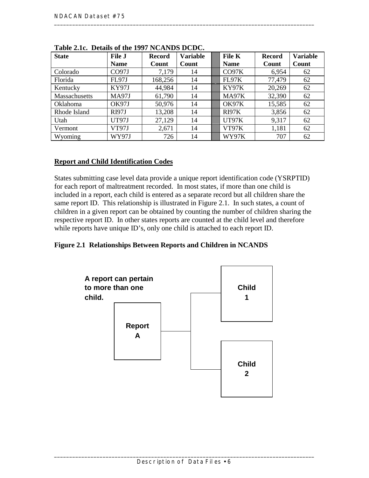| <b>State</b>    | <b>File J</b> | <b>Record</b> | <b>Variable</b> | File K       | <b>Record</b> | <b>Variable</b> |
|-----------------|---------------|---------------|-----------------|--------------|---------------|-----------------|
|                 | <b>Name</b>   | Count         | Count           | <b>Name</b>  | Count         | Count           |
| Colorado        | CO97J         | 7,179         | 14              | CO97K        | 6,954         | 62              |
| Florida         | <b>FL97J</b>  | 168,256       | 14              | FL97K        | 77,479        | 62              |
| Kentucky        | KY97J         | 44,984        | 14              | <b>KY97K</b> | 20,269        | 62              |
| Massachusetts   | <b>MA97J</b>  | 61,790        | 14              | MA97K        | 32,390        | 62              |
| <b>Oklahoma</b> | OK97J         | 50,976        | 14              | OK97K        | 15,585        | 62              |
| Rhode Island    | <b>RI97J</b>  | 13,208        | 14              | RI97K        | 3,856         | 62              |
| Utah            | UT97J         | 27,129        | 14              | UT97K        | 9,317         | 62              |
| Vermont         | VT97J         | 2,671         | 14              | VT97K        | 1,181         | 62              |
| Wyoming         | <b>WY97J</b>  | 726           | 14              | WY97K        | 707           | 62              |

<span id="page-15-0"></span>**Table 2.1c. Details of the 1997 NCANDS DCDC.** 

#### **Report and Child Identification Codes**

States submitting case level data provide a unique report identification code (YSRPTID) for each report of maltreatment recorded. In most states, if more than one child is included in a report, each child is entered as a separate record but all children share the same report ID. This relationship is illustrated in Figure 2.1. In such states, a count of children in a given report can be obtained by counting the number of children sharing the respective report ID. In other states reports are counted at the child level and therefore while reports have unique ID's, only one child is attached to each report ID.

#### **Figure 2.1 Relationships Between Reports and Children in NCANDS**

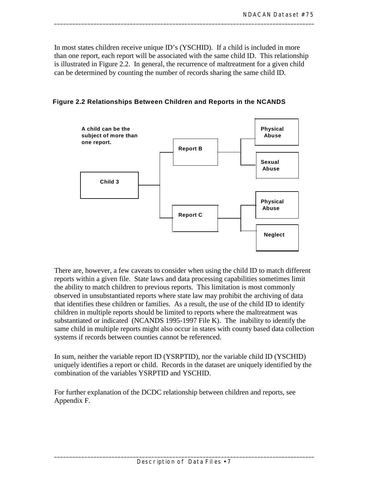In most states children receive unique ID's (YSCHID). If a child is included in more than one report, each report will be associated with the same child ID. This relationship is illustrated in Figure 2.2. In general, the recurrence of maltreatment for a given child can be determined by counting the number of records sharing the same child ID.

\_\_\_\_\_\_\_\_\_\_\_\_\_\_\_\_\_\_\_\_\_\_\_\_\_\_\_\_\_\_\_\_\_\_\_\_\_\_\_\_\_\_\_\_\_\_\_\_\_\_\_\_\_\_\_\_\_\_\_\_\_\_\_\_\_\_\_\_\_\_\_\_\_\_\_\_\_\_\_\_\_\_\_\_\_\_

 **Figure 2.2 Relationships Between Children and Reports in the NCANDS** 



There are, however, a few caveats to consider when using the child ID to match different reports within a given file. State laws and data processing capabilities sometimes limit the ability to match children to previous reports. This limitation is most commonly observed in unsubstantiated reports where state law may prohibit the archiving of data that identifies these children or families. As a result, the use of the child ID to identify children in multiple reports should be limited to reports where the maltreatment was substantiated or indicated (NCANDS 1995-1997 File K). The inability to identify the same child in multiple reports might also occur in states with county based data collection systems if records between counties cannot be referenced.

In sum, neither the variable report ID (YSRPTID), nor the variable child ID (YSCHID) uniquely identifies a report or child. Records in the dataset are uniquely identified by the combination of the variables YSRPTID and YSCHID.

For further explanation of the DCDC relationship between children and reports, see Appendix F.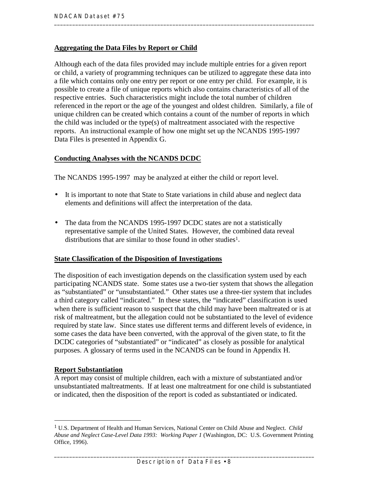#### <span id="page-17-0"></span>**Aggregating the Data Files by Report or Child**

Although each of the data files provided may include multiple entries for a given report or child, a variety of programming techniques can be utilized to aggregate these data into a file which contains only one entry per report or one entry per child. For example, it is possible to create a file of unique reports which also contains characteristics of all of the respective entries. Such characteristics might include the total number of children referenced in the report or the age of the youngest and oldest children. Similarly, a file of unique children can be created which contains a count of the number of reports in which the child was included or the type(s) of maltreatment associated with the respective reports. An instructional example of how one might set up the NCANDS 1995-1997 Data Files is presented in Appendix G.

#### **Conducting Analyses with the NCANDS DCDC**

The NCANDS 1995-1997 may be analyzed at either the child or report level.

- It is important to note that State to State variations in child abuse and neglect data elements and definitions will affect the interpretation of the data.
- The data from the NCANDS 1995-1997 DCDC states are not a statistically representative sample of the United States. However, the combined data reveal distributions that are similar to those found in other studies<sup>1</sup>.

#### **State Classification of the Disposition of Investigations**

The disposition of each investigation depends on the classification system used by each participating NCANDS state. Some states use a two-tier system that shows the allegation as "substantiated" or "unsubstantiated." Other states use a three-tier system that includes a third category called "indicated." In these states, the "indicated" classification is used when there is sufficient reason to suspect that the child may have been maltreated or is at risk of maltreatment, but the allegation could not be substantiated to the level of evidence required by state law. Since states use different terms and different levels of evidence, in some cases the data have been converted, with the approval of the given state, to fit the DCDC categories of "substantiated" or "indicated" as closely as possible for analytical purposes. A glossary of terms used in the NCANDS can be found in Appendix H.

#### **Report Substantiation**

 $\overline{a}$ 

A report may consist of multiple children, each with a mixture of substantiated and/or unsubstantiated maltreatments. If at least one maltreatment for one child is substantiated or indicated, then the disposition of the report is coded as substantiated or indicated.

<sup>1</sup> U.S. Department of Health and Human Services, National Center on Child Abuse and Neglect. *Child Abuse and Neglect Case-Level Data 1993: Working Paper 1* (Washington, DC: U.S. Government Printing Office, 1996).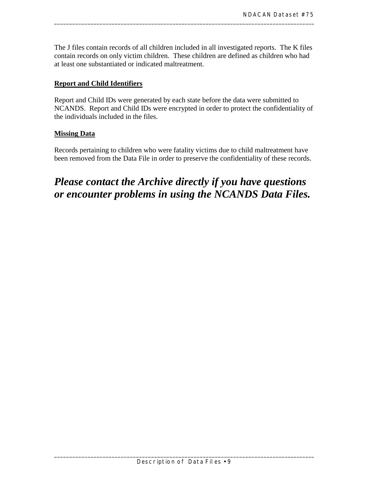The J files contain records of all children included in all investigated reports. The K files contain records on only victim children. These children are defined as children who had at least one substantiated or indicated maltreatment.

<span id="page-18-0"></span>\_\_\_\_\_\_\_\_\_\_\_\_\_\_\_\_\_\_\_\_\_\_\_\_\_\_\_\_\_\_\_\_\_\_\_\_\_\_\_\_\_\_\_\_\_\_\_\_\_\_\_\_\_\_\_\_\_\_\_\_\_\_\_\_\_\_\_\_\_\_\_\_\_\_\_\_\_\_\_\_\_\_\_\_\_\_

#### **Report and Child Identifiers**

Report and Child IDs were generated by each state before the data were submitted to NCANDS. Report and Child IDs were encrypted in order to protect the confidentiality of the individuals included in the files.

#### **Missing Data**

Records pertaining to children who were fatality victims due to child maltreatment have been removed from the Data File in order to preserve the confidentiality of these records.

# *Please contact the Archive directly if you have questions or encounter problems in using the NCANDS Data Files.*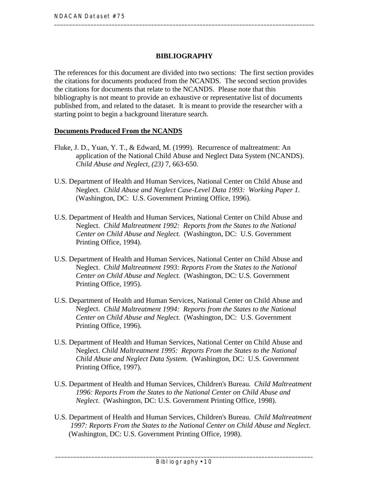#### **BIBLIOGRAPHY**

<span id="page-19-0"></span>The references for this document are divided into two sections: The first section provides the citations for documents produced from the NCANDS. The second section provides the citations for documents that relate to the NCANDS. Please note that this bibliography is not meant to provide an exhaustive or representative list of documents published from, and related to the dataset. It is meant to provide the researcher with a starting point to begin a background literature search.

#### **Documents Produced From the NCANDS**

- Fluke, J. D., Yuan, Y. T., & Edward, M. (1999). Recurrence of maltreatment: An application of the National Child Abuse and Neglect Data System (NCANDS). *Child Abuse and Neglect, (23)* 7, 663-650.
- Neglect. *Child Abuse and Neglect Case-Level Data 1993: Working Paper 1.* U.S. Department of Health and Human Services, National Center on Child Abuse and (Washington, DC: U.S. Government Printing Office, 1996).
- U.S. Department of Health and Human Services, National Center on Child Abuse and Neglect. *Child Maltreatment 1992: Reports from the States to the National Center on Child Abuse and Neglect.* (Washington, DC: U.S. Government Printing Office, 1994).
- U.S. Department of Health and Human Services, National Center on Child Abuse and Neglect. *Child Maltreatment 1993: Reports From the States to the National Center on Child Abuse and Neglect.* (Washington, DC: U.S. Government Printing Office, 1995).
- U.S. Department of Health and Human Services, National Center on Child Abuse and Neglect. *Child Maltreatment 1994: Reports from the States to the National Center on Child Abuse and Neglect.* (Washington, DC: U.S. Government Printing Office, 1996).
- U.S. Department of Health and Human Services, National Center on Child Abuse and Neglect. *Child Maltreatment 1995: Reports From the States to the National Child Abuse and Neglect Data System.* (Washington, DC: U.S. Government Printing Office, 1997).
- U.S. Department of Health and Human Services, Children's Bureau. *Child Maltreatment 1996: Reports From the States to the National Center on Child Abuse and Neglect*. (Washington, DC: U.S. Government Printing Office, 1998).
- U.S. Department of Health and Human Services, Children's Bureau. *Child Maltreatment 1997: Reports From the States to the National Center on Child Abuse and Neglect*. (Washington, DC: U.S. Government Printing Office, 1998).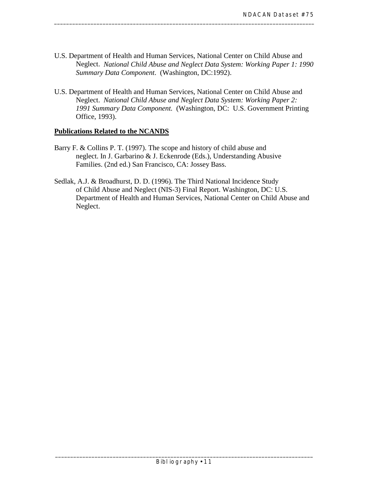U.S. Department of Health and Human Services, National Center on Child Abuse and Neglect. *National Child Abuse and Neglect Data System: Working Paper 1: 1990 Summary Data Component*. (Washington, DC:1992).

<span id="page-20-0"></span>\_\_\_\_\_\_\_\_\_\_\_\_\_\_\_\_\_\_\_\_\_\_\_\_\_\_\_\_\_\_\_\_\_\_\_\_\_\_\_\_\_\_\_\_\_\_\_\_\_\_\_\_\_\_\_\_\_\_\_\_\_\_\_\_\_\_\_\_\_\_\_\_\_\_\_\_\_\_\_\_\_\_\_\_\_\_

U.S. Department of Health and Human Services, National Center on Child Abuse and Neglect. *National Child Abuse and Neglect Data System: Working Paper 2: 1991 Summary Data Component.* (Washington, DC: U.S. Government Printing Office, 1993).

#### **Publications Related to the NCANDS**

- Barry F. & Collins P. T. (1997). The scope and history of child abuse and neglect. In J. Garbarino & J. Eckenrode (Eds.), Understanding Abusive Families. (2nd ed.) San Francisco, CA: Jossey Bass.
- Sedlak, A.J. & Broadhurst, D. D. (1996). The Third National Incidence Study of Child Abuse and Neglect (NIS-3) Final Report. Washington, DC: U.S. Department of Health and Human Services, National Center on Child Abuse and Neglect.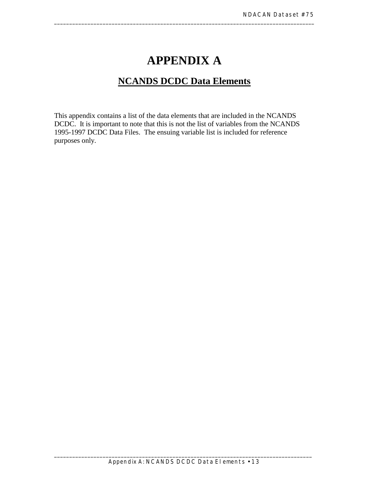# **APPENDIX A**

<span id="page-22-0"></span>\_\_\_\_\_\_\_\_\_\_\_\_\_\_\_\_\_\_\_\_\_\_\_\_\_\_\_\_\_\_\_\_\_\_\_\_\_\_\_\_\_\_\_\_\_\_\_\_\_\_\_\_\_\_\_\_\_\_\_\_\_\_\_\_\_\_\_\_\_\_\_\_\_\_\_\_\_\_\_\_\_\_\_\_\_\_

## **NCANDS DCDC Data Elements**

This appendix contains a list of the data elements that are included in the NCANDS DCDC. It is important to note that this is not the list of variables from the NCANDS 1995-1997 DCDC Data Files. The ensuing variable list is included for reference purposes only.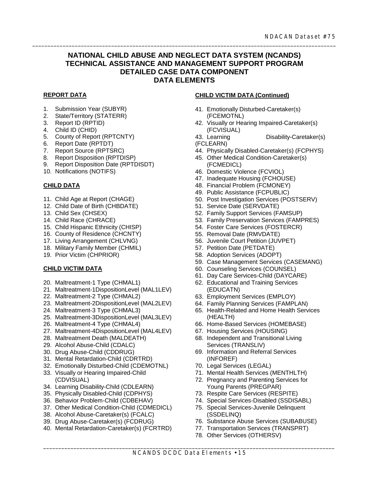#### **NATIONAL CHILD ABUSE AND NEGLECT DATA SYSTEM (NCANDS) TECHNICAL ASSISTANCE AND MANAGEMENT SUPPORT PROGRAM DETAILED CASE DATA COMPONENT DATA ELEMENTS**

\_\_\_\_\_\_\_\_\_\_\_\_\_\_\_\_\_\_\_\_\_\_\_\_\_\_\_\_\_\_\_\_\_\_\_\_\_\_\_\_\_\_\_\_\_\_\_\_\_\_\_\_\_\_\_\_\_\_\_\_\_\_\_\_\_\_\_\_\_\_\_\_\_\_\_\_\_\_\_\_\_\_\_\_\_\_\_\_\_\_\_\_\_\_\_\_\_\_\_\_

#### **REPORT DATA**

- 1. Submission Year (SUBYR)
- 2. State/Territory (STATERR)
- 3. Report ID (RPTID)
- 4. Child ID (CHID)
- 5. County of Report (RPTCNTY)
- 6. Report Date (RPTDT)
- 7. Report Source (RPTSRC)
- 8. Report Disposition (RPTDISP)
- 9. Report Disposition Date (RPTDISDT)
- 10. Notifications (NOTIFS)

#### **CHILD DATA**

- 11. Child Age at Report (CHAGE)
- 12. Child Date of Birth (CHBDATE)
- 13. Child Sex (CHSEX)
- 14. Child Race (CHRACE)
- 15. Child Hispanic Ethnicity (CHISP)
- 16. County of Residence (CHCNTY)
- 17. Living Arrangement (CHLVNG)
- 18. Military Family Member (CHMIL)
- 19. Prior Victim (CHPRIOR)

#### **CHILD VICTIM DATA**

- 20. Maltreatment-1 Type (CHMAL1)
- 21. Maltreatment-1DispositionLevel (MAL1LEV)
- 22. Maltreatment-2 Type (CHMAL2)
- 23. Maltreatment-2DispositionLevel (MAL2LEV)
- 24. Maltreatment-3 Type (CHMAL3)
- 25. Maltreatment-3DispositionLevel (MAL3LEV)
- 26. Maltreatment-4 Type (CHMAL4)
- 27. Maltreatment-4DispositionLevel (MAL4LEV)
- 28. Maltreatment Death (MALDEATH)
- 29. Alcohol Abuse-Child (CDALC)
- 30. Drug Abuse-Child (CDDRUG)
- 31. Mental Retardation-Child (CDRTRD)
- 32. Emotionally Disturbed-Child (CDEMOTNL)
- 33. Visually or Hearing Impaired-Child (CDVISUAL)
- 34. Learning Disability-Child (CDLEARN)
- 35. Physically Disabled-Child (CDPHYS)
- 36. Behavior Problem-Child (CDBEHAV)
- 37. Other Medical Condition-Child (CDMEDICL)
- 38. Alcohol Abuse-Caretaker(s) (FCALC)
- 39. Drug Abuse-Caretaker(s) (FCDRUG)
- 40. Mental Retardation-Caretaker(s) (FCRTRD)

#### **CHILD VICTIM DATA (Continued)**

- 41. Emotionally Disturbed-Caretaker(s) (FCEMOTNL)
- 42. Visually or Hearing Impaired-Caretaker(s) (FCVISUAL)

43. Learning Disability-Caretaker(s) (FCLEARN)

- 44. Physically Disabled-Caretaker(s) (FCPHYS)
- 45. Other Medical Condition-Caretaker(s) (FCMEDICL)
- 46. Domestic Violence (FCVIOL)
- 47. Inadequate Housing (FCHOUSE)
- 48. Financial Problem (FCMONEY)
- 49. Public Assistance (FCPUBLIC)
- 50. Post Investigation Services (POSTSERV)
- 51. Service Date (SERVDATE)
- 52. Family Support Services (FAMSUP)
- 53. Family Preservation Services (FAMPRES)
- 54. Foster Care Services (FOSTERCR)
- 55. Removal Date (RMVDATE)
- 56. Juvenile Court Petition (JUVPET)
- 57. Petition Date (PETDATE)
- 58. Adoption Services (ADOPT)
- 59. Case Management Services (CASEMANG)
- 60. Counseling Services (COUNSEL)
- 61. Day Care Services-Child (DAYCARE)
- 62. Educational and Training Services (EDUCATN)
- 63. Employment Services (EMPLOY)
- 64. Family Planning Services (FAMPLAN)
- 65. Health-Related and Home Health Services (HEALTH)
- 66. Home-Based Services (HOMEBASE)
- 67. Housing Services (HOUSING)
- 68. Independent and Transitional Living Services (TRANSLIV)
- 69. Information and Referral Services (INFOREF)
- 70. Legal Services (LEGAL)
- 71. Mental Health Services (MENTHLTH)
- 72. Pregnancy and Parenting Services for Young Parents (PREGPAR)
- 73. Respite Care Services (RESPITE)
- 74. Special Services-Disabled (SSDISABL)
- 75. Special Services-Juvenile Delinquent (SSDELINQ)
- 76. Substance Abuse Services (SUBABUSE)
- 77. Transportation Services (TRANSPRT)
- 78. Other Services (OTHERSV)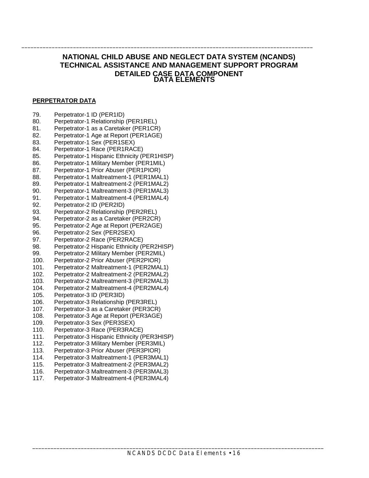#### **NATIONAL CHILD ABUSE AND NEGLECT DATA SYSTEM (NCANDS) TECHNICAL ASSISTANCE AND MANAGEMENT SUPPORT PROGRAM DETAILED CASE DATA COMPONENT DATA ELEMENTS**

\_\_\_\_\_\_\_\_\_\_\_\_\_\_\_\_\_\_\_\_\_\_\_\_\_\_\_\_\_\_\_\_\_\_\_\_\_\_\_\_\_\_\_\_\_\_\_\_\_\_\_\_\_\_\_\_\_\_\_\_\_\_\_\_\_\_\_\_\_\_\_\_\_\_\_\_\_\_\_\_\_\_\_\_\_\_\_\_\_\_\_\_\_\_\_\_

#### **PERPETRATOR DATA**

- 79. Perpetrator-1 ID (PER1ID)
- 80. Perpetrator-1 Relationship (PER1REL)
- $81.$ Perpetrator-1 as a Caretaker (PER1CR)
- 82. Perpetrator-1 Age at Report (PER1AGE)
- 83. Perpetrator-1 Sex (PER1SEX)<br>84. Perpetrator-1 Race (PER1RAC
- Perpetrator-1 Race (PER1RACE)
- 85. Perpetrator-1 Hispanic Ethnicity (PER1HISP)
- 86. Perpetrator-1 Military Member (PER1MIL)
- 87. Perpetrator-1 Prior Abuser (PER1PIOR)
- 88. Perpetrator-1 Maltreatment-1 (PER1MAL1)
- 89. Perpetrator-1 Maltreatment-2 (PER1MAL2) 90. Perpetrator-1 Maltreatment-3 (PER1MAL3)
- 91. Perpetrator-1 Maltreatment-4 (PER1MAL4)
- 92. Perpetrator-2 ID (PER2ID)
- 93. Perpetrator-2 Relationship (PER2REL)
- Perpetrator-2 as a Caretaker (PER2CR)
- 94.<br>95. Perpetrator-2 Age at Report (PER2AGE)
- 96. Perpetrator-2 Sex (PER2SEX)
- 97. Perpetrator-2 Race (PER2RACE)
- 98. Perpetrator-2 Hispanic Ethnicity (PER2HISP)
- 99. Perpetrator-2 Military Member (PER2MIL)
- 100. Perpetrator-2 Prior Abuser (PER2PIOR)
- 101. Perpetrator-2 Maltreatment-1 (PER2MAL1)
- 102. Perpetrator-2 Maltreatment-2 (PER2MAL2)
- 103. Perpetrator-2 Maltreatment-3 (PER2MAL3)
- 104. Perpetrator-2 Maltreatment-4 (PER2MAL4)
- 105. Perpetrator-3 ID (PER3ID)
- 106. Perpetrator-3 Relationship (PER3REL)
- 107. Perpetrator-3 as a Caretaker (PER3CR)
- 108. Perpetrator-3 Age at Report (PER3AGE)
- 109. Perpetrator-3 Sex (PER3SEX)
- 110. Perpetrator-3 Race (PER3RACE)
- 111. Perpetrator-3 Hispanic Ethnicity (PER3HISP)
- 112. Perpetrator-3 Military Member (PER3MIL)
- 113. Perpetrator-3 Prior Abuser (PER3PIOR)
- 114. Perpetrator-3 Maltreatment-1 (PER3MAL1)
- 115. Perpetrator-3 Maltreatment-2 (PER3MAL2)
- 116. Perpetrator-3 Maltreatment-3 (PER3MAL3)
- 117. Perpetrator-3 Maltreatment-4 (PER3MAL4)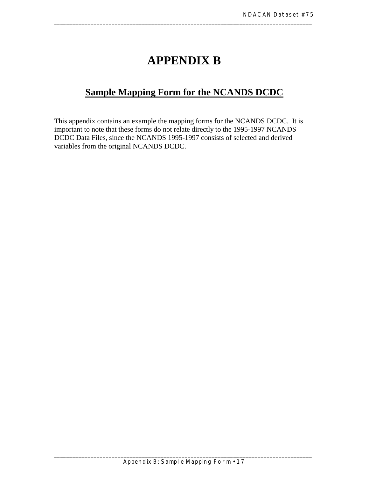# **APPENDIX B**

<span id="page-26-0"></span>\_\_\_\_\_\_\_\_\_\_\_\_\_\_\_\_\_\_\_\_\_\_\_\_\_\_\_\_\_\_\_\_\_\_\_\_\_\_\_\_\_\_\_\_\_\_\_\_\_\_\_\_\_\_\_\_\_\_\_\_\_\_\_\_\_\_\_\_\_\_\_\_\_\_\_\_\_\_\_\_\_\_\_\_\_

## **Sample Mapping Form for the NCANDS DCDC**

This appendix contains an example the mapping forms for the NCANDS DCDC. It is important to note that these forms do not relate directly to the 1995-1997 NCANDS DCDC Data Files, since the NCANDS 1995-1997 consists of selected and derived variables from the original NCANDS DCDC.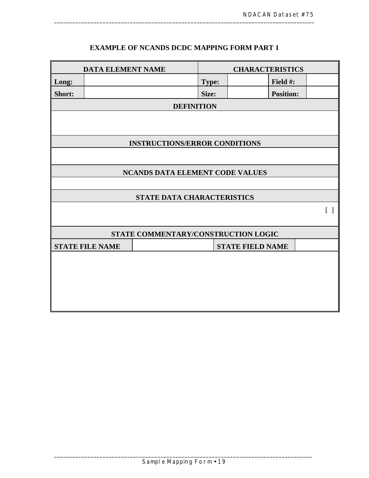## **EXAMPLE OF NCANDS DCDC MAPPING FORM PART 1**

|        | <b>DATA ELEMENT NAME</b>               |                                      |              | <b>CHARACTERISTICS</b>  |                  |                   |  |
|--------|----------------------------------------|--------------------------------------|--------------|-------------------------|------------------|-------------------|--|
| Long:  |                                        |                                      | <b>Type:</b> |                         | Field #:         |                   |  |
| Short: |                                        |                                      | Size:        |                         | <b>Position:</b> |                   |  |
|        | <b>DEFINITION</b>                      |                                      |              |                         |                  |                   |  |
|        |                                        |                                      |              |                         |                  |                   |  |
|        |                                        | <b>INSTRUCTIONS/ERROR CONDITIONS</b> |              |                         |                  |                   |  |
|        |                                        |                                      |              |                         |                  |                   |  |
|        | <b>NCANDS DATA ELEMENT CODE VALUES</b> |                                      |              |                         |                  |                   |  |
|        |                                        |                                      |              |                         |                  |                   |  |
|        |                                        | STATE DATA CHARACTERISTICS           |              |                         |                  |                   |  |
|        |                                        |                                      |              |                         |                  | $\lceil$ $\rceil$ |  |
|        |                                        | STATE COMMENTARY/CONSTRUCTION LOGIC  |              |                         |                  |                   |  |
|        | <b>STATE FILE NAME</b>                 |                                      |              | <b>STATE FIELD NAME</b> |                  |                   |  |
|        |                                        |                                      |              |                         |                  |                   |  |
|        |                                        |                                      |              |                         |                  |                   |  |
|        |                                        |                                      |              |                         |                  |                   |  |
|        |                                        |                                      |              |                         |                  |                   |  |
|        |                                        |                                      |              |                         |                  |                   |  |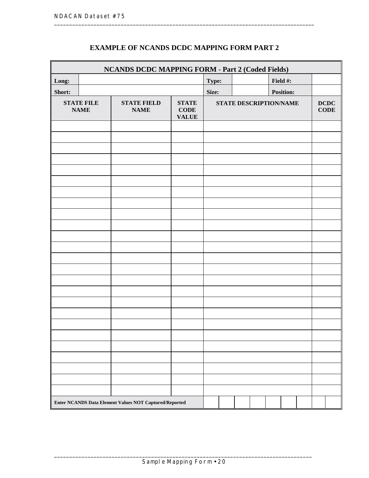|        | <b>NCANDS DCDC MAPPING FORM - Part 2 (Coded Fields)</b> |                                                               |                                        |                        |  |                  |  |                            |
|--------|---------------------------------------------------------|---------------------------------------------------------------|----------------------------------------|------------------------|--|------------------|--|----------------------------|
| Long:  |                                                         |                                                               |                                        | Type:                  |  | Field #:         |  |                            |
| Short: |                                                         |                                                               |                                        | Size:                  |  | <b>Position:</b> |  |                            |
|        | <b>STATE FILE</b><br><b>NAME</b>                        | <b>STATE FIELD</b><br><b>NAME</b>                             | <b>STATE</b><br>$CODE$<br><b>VALUE</b> | STATE DESCRIPTION/NAME |  |                  |  | <b>DCDC</b><br><b>CODE</b> |
|        |                                                         |                                                               |                                        |                        |  |                  |  |                            |
|        |                                                         |                                                               |                                        |                        |  |                  |  |                            |
|        |                                                         |                                                               |                                        |                        |  |                  |  |                            |
|        |                                                         |                                                               |                                        |                        |  |                  |  |                            |
|        |                                                         |                                                               |                                        |                        |  |                  |  |                            |
|        |                                                         |                                                               |                                        |                        |  |                  |  |                            |
|        |                                                         |                                                               |                                        |                        |  |                  |  |                            |
|        |                                                         |                                                               |                                        |                        |  |                  |  |                            |
|        |                                                         |                                                               |                                        |                        |  |                  |  |                            |
|        |                                                         |                                                               |                                        |                        |  |                  |  |                            |
|        |                                                         |                                                               |                                        |                        |  |                  |  |                            |
|        |                                                         |                                                               |                                        |                        |  |                  |  |                            |
|        |                                                         |                                                               |                                        |                        |  |                  |  |                            |
|        |                                                         |                                                               |                                        |                        |  |                  |  |                            |
|        |                                                         |                                                               |                                        |                        |  |                  |  |                            |
|        |                                                         |                                                               |                                        |                        |  |                  |  |                            |
|        |                                                         |                                                               |                                        |                        |  |                  |  |                            |
|        |                                                         |                                                               |                                        |                        |  |                  |  |                            |
|        |                                                         |                                                               |                                        |                        |  |                  |  |                            |
|        |                                                         |                                                               |                                        |                        |  |                  |  |                            |
|        |                                                         |                                                               |                                        |                        |  |                  |  |                            |
|        |                                                         |                                                               |                                        |                        |  |                  |  |                            |
|        |                                                         |                                                               |                                        |                        |  |                  |  |                            |
|        |                                                         |                                                               |                                        |                        |  |                  |  |                            |
|        |                                                         |                                                               |                                        |                        |  |                  |  |                            |
|        |                                                         | <b>Enter NCANDS Data Element Values NOT Captured/Reported</b> |                                        |                        |  |                  |  |                            |

### **EXAMPLE OF NCANDS DCDC MAPPING FORM PART 2**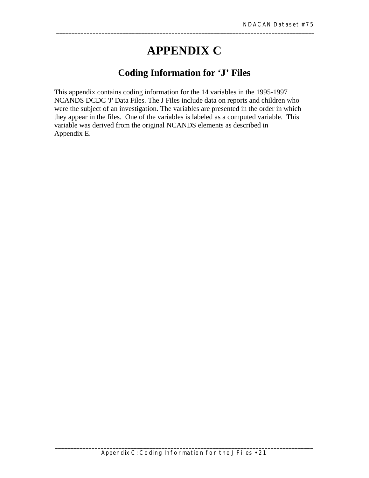# **APPENDIX C**

## **Coding Information for 'J' Files**

<span id="page-30-0"></span>This appendix contains coding information for the 14 variables in the 1995-1997 NCANDS DCDC 'J' Data Files. The J Files include data on reports and children who were the subject of an investigation. The variables are presented in the order in which they appear in the files. One of the variables is labeled as a computed variable. This variable was derived from the original NCANDS elements as described in Appendix E.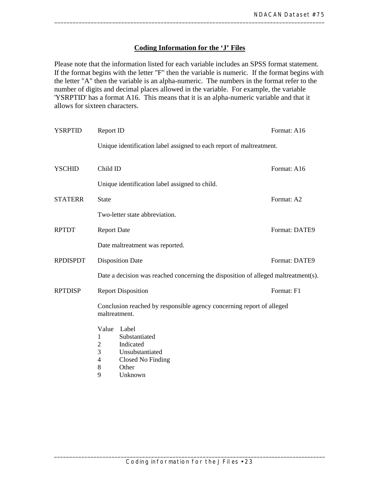#### **Coding Information for the 'J' Files**

<span id="page-32-0"></span>Please note that the information listed for each variable includes an SPSS format statement. If the format begins with the letter "F" then the variable is numeric. If the format begins with the letter "A" then the variable is an alpha-numeric. The numbers in the format refer to the number of digits and decimal places allowed in the variable. For example, the variable 'YSRPTID' has a format A16. This means that it is an alpha-numeric variable and that it allows for sixteen characters.

| <b>YSRPTID</b>  | Report ID                                                                                                                              | Format: A16   |
|-----------------|----------------------------------------------------------------------------------------------------------------------------------------|---------------|
|                 | Unique identification label assigned to each report of maltreatment.                                                                   |               |
| <b>YSCHID</b>   | Child ID                                                                                                                               | Format: A16   |
|                 | Unique identification label assigned to child.                                                                                         |               |
| <b>STATERR</b>  | <b>State</b>                                                                                                                           | Format: A2    |
|                 | Two-letter state abbreviation.                                                                                                         |               |
| <b>RPTDT</b>    | <b>Report Date</b>                                                                                                                     | Format: DATE9 |
|                 | Date maltreatment was reported.                                                                                                        |               |
| <b>RPDISPDT</b> | <b>Disposition Date</b>                                                                                                                | Format: DATE9 |
|                 | Date a decision was reached concerning the disposition of alleged maltreatment(s).                                                     |               |
| <b>RPTDISP</b>  | <b>Report Disposition</b>                                                                                                              | Format: F1    |
|                 | Conclusion reached by responsible agency concerning report of alleged<br>maltreatment.                                                 |               |
|                 | Value<br>Label<br>Substantiated<br>1<br>Indicated<br>2<br>3<br>Unsubstantiated<br>Closed No Finding<br>4<br>Other<br>8<br>9<br>Unknown |               |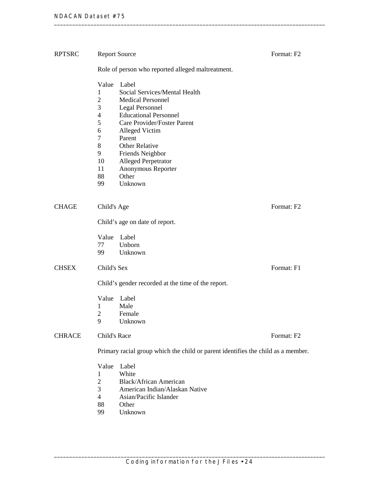| <b>RPTSRC</b> | <b>Report Source</b>                                                                                                                                                                                                                                                                                                                                                                                                 | Format: F2 |  |  |  |
|---------------|----------------------------------------------------------------------------------------------------------------------------------------------------------------------------------------------------------------------------------------------------------------------------------------------------------------------------------------------------------------------------------------------------------------------|------------|--|--|--|
|               | Role of person who reported alleged maltreatment.                                                                                                                                                                                                                                                                                                                                                                    |            |  |  |  |
|               | Value<br>Label<br>1<br>Social Services/Mental Health<br>$\overline{2}$<br><b>Medical Personnel</b><br>3<br><b>Legal Personnel</b><br><b>Educational Personnel</b><br>$\overline{4}$<br>5<br>Care Provider/Foster Parent<br>6<br>Alleged Victim<br>7<br>Parent<br>8<br><b>Other Relative</b><br>9<br>Friends Neighbor<br>10<br><b>Alleged Perpetrator</b><br>11<br>Anonymous Reporter<br>88<br>Other<br>99<br>Unknown |            |  |  |  |
|               |                                                                                                                                                                                                                                                                                                                                                                                                                      |            |  |  |  |
| <b>CHAGE</b>  | Child's Age                                                                                                                                                                                                                                                                                                                                                                                                          | Format: F2 |  |  |  |
|               | Child's age on date of report.                                                                                                                                                                                                                                                                                                                                                                                       |            |  |  |  |
| <b>CHSEX</b>  | Value Label<br>77<br>Unborn<br>Unknown<br>99<br>Child's Sex                                                                                                                                                                                                                                                                                                                                                          | Format: F1 |  |  |  |
|               |                                                                                                                                                                                                                                                                                                                                                                                                                      |            |  |  |  |
|               | Child's gender recorded at the time of the report.                                                                                                                                                                                                                                                                                                                                                                   |            |  |  |  |
|               | Value<br>Label<br>Male<br>1<br>$\overline{c}$<br>Female<br>Unknown<br>9                                                                                                                                                                                                                                                                                                                                              |            |  |  |  |
| <b>CHRACE</b> | Child's Race                                                                                                                                                                                                                                                                                                                                                                                                         | Format: F2 |  |  |  |
|               | Primary racial group which the child or parent identifies the child as a member.                                                                                                                                                                                                                                                                                                                                     |            |  |  |  |
|               | Value<br>Label<br>White<br>$\mathbf{1}$<br>$\overline{c}$<br><b>Black/African American</b><br>3<br>American Indian/Alaskan Native<br>$\overline{4}$<br>Asian/Pacific Islander<br>88<br>Other<br>99<br>Unknown                                                                                                                                                                                                        |            |  |  |  |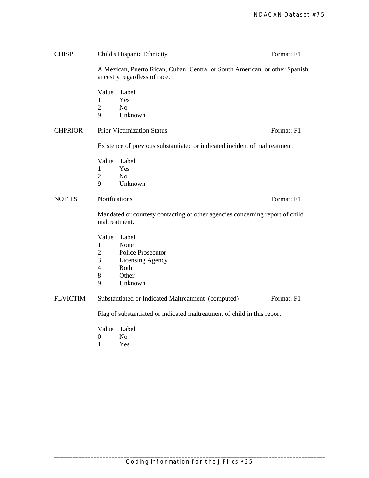| <b>CHISP</b>    |                                   | Child's Hispanic Ethnicity                                                                                  | Format: F1 |
|-----------------|-----------------------------------|-------------------------------------------------------------------------------------------------------------|------------|
|                 |                                   | A Mexican, Puerto Rican, Cuban, Central or South American, or other Spanish<br>ancestry regardless of race. |            |
|                 | Value<br>1<br>$\overline{2}$<br>9 | Label<br>Yes<br>N <sub>o</sub><br>Unknown                                                                   |            |
| <b>CHPRIOR</b>  |                                   | <b>Prior Victimization Status</b>                                                                           | Format: F1 |
|                 |                                   | Existence of previous substantiated or indicated incident of maltreatment.                                  |            |
|                 | Value                             | Label                                                                                                       |            |
|                 | 1                                 | Yes                                                                                                         |            |
|                 | $\overline{2}$                    | N <sub>o</sub>                                                                                              |            |
|                 | 9                                 | Unknown                                                                                                     |            |
| <b>NOTIFS</b>   | Notifications                     |                                                                                                             | Format: F1 |
|                 | maltreatment.                     | Mandated or courtesy contacting of other agencies concerning report of child                                |            |
|                 | Value                             | Label                                                                                                       |            |
|                 | 1                                 | None                                                                                                        |            |
|                 | 2                                 | Police Prosecutor                                                                                           |            |
|                 | 3                                 | Licensing Agency                                                                                            |            |
|                 | 4                                 | <b>Both</b>                                                                                                 |            |
|                 | 8                                 | Other                                                                                                       |            |
|                 | 9                                 | Unknown                                                                                                     |            |
| <b>FLVICTIM</b> |                                   | Substantiated or Indicated Maltreatment (computed)                                                          | Format: F1 |
|                 |                                   | Flag of substantiated or indicated maltreatment of child in this report.                                    |            |
|                 | Value                             | Label                                                                                                       |            |
|                 | 0                                 | N <sub>0</sub>                                                                                              |            |

1 Yes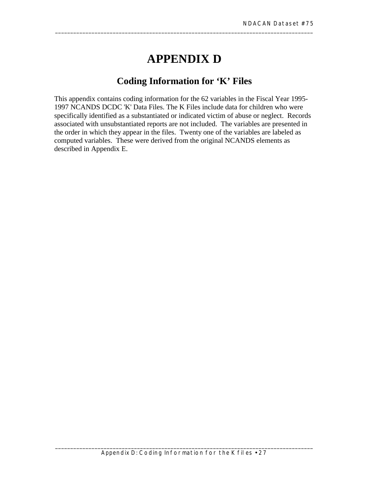# **APPENDIX D**

\_\_\_\_\_\_\_\_\_\_\_\_\_\_\_\_\_\_\_\_\_\_\_\_\_\_\_\_\_\_\_\_\_\_\_\_\_\_\_\_\_\_\_\_\_\_\_\_\_\_\_\_\_\_\_\_\_\_\_\_\_\_\_\_\_\_\_\_\_\_\_\_\_\_\_\_\_\_\_\_\_\_\_\_\_

## **Coding Information for 'K' Files**

This appendix contains coding information for the 62 variables in the Fiscal Year 1995- 1997 NCANDS DCDC 'K' Data Files. The K Files include data for children who were specifically identified as a substantiated or indicated victim of abuse or neglect. Records associated with unsubstantiated reports are not included. The variables are presented in the order in which they appear in the files. Twenty one of the variables are labeled as computed variables. These were derived from the original NCANDS elements as described in Appendix E.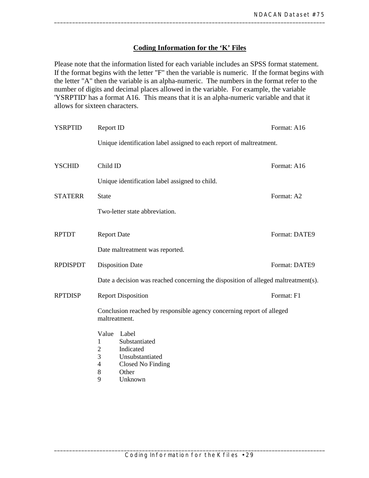### **Coding Information for the 'K' Files**

Please note that the information listed for each variable includes an SPSS format statement. If the format begins with the letter "F" then the variable is numeric. If the format begins with the letter "A" then the variable is an alpha-numeric. The numbers in the format refer to the number of digits and decimal places allowed in the variable. For example, the variable 'YSRPTID' has a format A16. This means that it is an alpha-numeric variable and that it allows for sixteen characters.

| <b>YSRPTID</b>  | Report ID                                                                                                                                                        | Format: A16 |               |  |  |
|-----------------|------------------------------------------------------------------------------------------------------------------------------------------------------------------|-------------|---------------|--|--|
|                 | Unique identification label assigned to each report of maltreatment.                                                                                             |             |               |  |  |
| <b>YSCHID</b>   | Child ID                                                                                                                                                         | Format: A16 |               |  |  |
|                 | Unique identification label assigned to child.                                                                                                                   |             |               |  |  |
| <b>STATERR</b>  | <b>State</b>                                                                                                                                                     |             | Format: A2    |  |  |
|                 | Two-letter state abbreviation.                                                                                                                                   |             |               |  |  |
| <b>RPTDT</b>    | <b>Report Date</b>                                                                                                                                               |             | Format: DATE9 |  |  |
|                 | Date maltreatment was reported.                                                                                                                                  |             |               |  |  |
| <b>RPDISPDT</b> | <b>Disposition Date</b>                                                                                                                                          |             | Format: DATE9 |  |  |
|                 | Date a decision was reached concerning the disposition of alleged maltreatment(s).                                                                               |             |               |  |  |
| <b>RPTDISP</b>  | <b>Report Disposition</b>                                                                                                                                        |             | Format: F1    |  |  |
|                 | Conclusion reached by responsible agency concerning report of alleged<br>maltreatment.                                                                           |             |               |  |  |
|                 | Value<br>Label<br>Substantiated<br>1<br>Indicated<br>$\overline{2}$<br>3<br>Unsubstantiated<br>$\overline{4}$<br>Closed No Finding<br>8<br>Other<br>9<br>Unknown |             |               |  |  |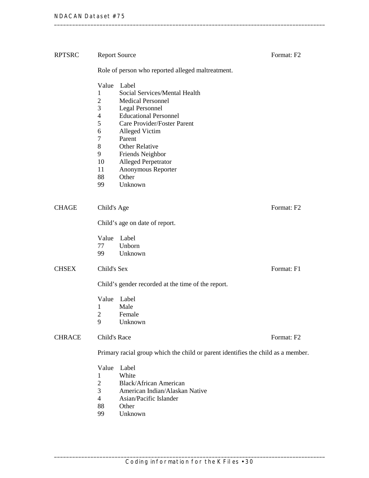| <b>RPTSRC</b> | <b>Report Source</b>                                                                                 |                                                                                                                                                                                                                                                                                                | Format: F <sub>2</sub> |  |
|---------------|------------------------------------------------------------------------------------------------------|------------------------------------------------------------------------------------------------------------------------------------------------------------------------------------------------------------------------------------------------------------------------------------------------|------------------------|--|
|               | Role of person who reported alleged maltreatment.                                                    |                                                                                                                                                                                                                                                                                                |                        |  |
|               | Value<br>1<br>$\overline{c}$<br>3<br>4<br>5<br>6<br>$\overline{7}$<br>8<br>9<br>10<br>11<br>88<br>99 | Label<br>Social Services/Mental Health<br><b>Medical Personnel</b><br>Legal Personnel<br><b>Educational Personnel</b><br>Care Provider/Foster Parent<br>Alleged Victim<br>Parent<br><b>Other Relative</b><br>Friends Neighbor<br>Alleged Perpetrator<br>Anonymous Reporter<br>Other<br>Unknown |                        |  |
| <b>CHAGE</b>  | Child's Age                                                                                          |                                                                                                                                                                                                                                                                                                | Format: F2             |  |
|               | Child's age on date of report.                                                                       |                                                                                                                                                                                                                                                                                                |                        |  |
|               | Value Label<br>77<br>99                                                                              | Unborn<br>Unknown                                                                                                                                                                                                                                                                              |                        |  |
| <b>CHSEX</b>  | Child's Sex                                                                                          |                                                                                                                                                                                                                                                                                                | Format: F1             |  |
|               | Child's gender recorded at the time of the report.                                                   |                                                                                                                                                                                                                                                                                                |                        |  |
|               | Value<br>1<br>2<br>9                                                                                 | Label<br>Male<br>Female<br>Unknown                                                                                                                                                                                                                                                             |                        |  |
| <b>CHRACE</b> | Child's Race<br>Format: F2                                                                           |                                                                                                                                                                                                                                                                                                |                        |  |
|               | Primary racial group which the child or parent identifies the child as a member.                     |                                                                                                                                                                                                                                                                                                |                        |  |
|               | Value<br>1<br>$\overline{c}$<br>3<br>4<br>88                                                         | Label<br>White<br><b>Black/African American</b><br>American Indian/Alaskan Native<br>Asian/Pacific Islander<br>Other                                                                                                                                                                           |                        |  |

- 99 Unknown
-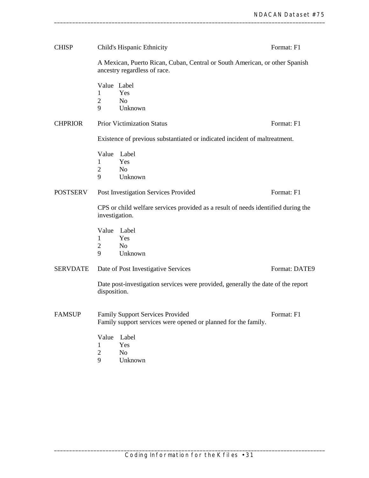| <b>CHISP</b>    |                                                                                                             | Child's Hispanic Ethnicity                                                                         | Format: F1    |  |
|-----------------|-------------------------------------------------------------------------------------------------------------|----------------------------------------------------------------------------------------------------|---------------|--|
|                 | A Mexican, Puerto Rican, Cuban, Central or South American, or other Spanish<br>ancestry regardless of race. |                                                                                                    |               |  |
|                 | Value Label<br>1<br>$\overline{2}$<br>9                                                                     | Yes<br>N <sub>o</sub><br>Unknown                                                                   |               |  |
| <b>CHPRIOR</b>  |                                                                                                             | <b>Prior Victimization Status</b>                                                                  | Format: F1    |  |
|                 | Existence of previous substantiated or indicated incident of maltreatment.                                  |                                                                                                    |               |  |
|                 | Value<br>1<br>$\overline{2}$<br>9                                                                           | Label<br>Yes<br>N <sub>o</sub><br>Unknown                                                          |               |  |
| <b>POSTSERV</b> |                                                                                                             | Post Investigation Services Provided                                                               | Format: F1    |  |
|                 | CPS or child welfare services provided as a result of needs identified during the<br>investigation.         |                                                                                                    |               |  |
|                 | Value<br>$\mathbf{1}$<br>2<br>9                                                                             | Label<br>Yes<br>N <sub>0</sub><br>Unknown                                                          |               |  |
| <b>SERVDATE</b> |                                                                                                             | Date of Post Investigative Services                                                                | Format: DATE9 |  |
|                 | disposition.                                                                                                | Date post-investigation services were provided, generally the date of the report                   |               |  |
| <b>FAMSUP</b>   |                                                                                                             | Family Support Services Provided<br>Family support services were opened or planned for the family. | Format: F1    |  |
|                 | Value<br>1<br>$\overline{2}$                                                                                | Label<br>Yes<br>No<br>TТ                                                                           |               |  |

9 Unknown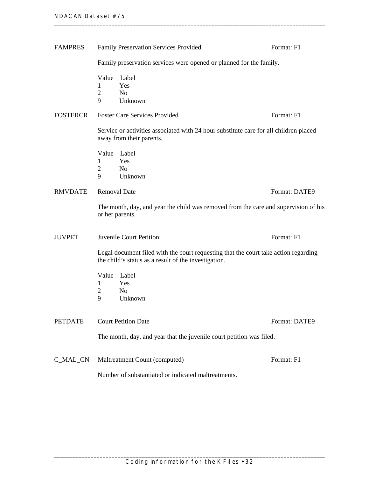| <b>FAMPRES</b>  | Family Preservation Services Provided                                                                                                       | Format: F1    |  |  |
|-----------------|---------------------------------------------------------------------------------------------------------------------------------------------|---------------|--|--|
|                 | Family preservation services were opened or planned for the family.                                                                         |               |  |  |
|                 | Value<br>Label<br>Yes<br>1<br>$\overline{2}$<br>N <sub>o</sub><br>9<br>Unknown                                                              |               |  |  |
| <b>FOSTERCR</b> | <b>Foster Care Services Provided</b>                                                                                                        | Format: F1    |  |  |
|                 | Service or activities associated with 24 hour substitute care for all children placed<br>away from their parents.                           |               |  |  |
|                 | Value<br>Label<br>Yes<br>1<br>$\overline{c}$<br>N <sub>o</sub><br>9<br>Unknown                                                              |               |  |  |
| <b>RMVDATE</b>  | <b>Removal Date</b>                                                                                                                         | Format: DATE9 |  |  |
|                 | The month, day, and year the child was removed from the care and supervision of his<br>or her parents.                                      |               |  |  |
| <b>JUVPET</b>   | Juvenile Court Petition                                                                                                                     | Format: F1    |  |  |
|                 | Legal document filed with the court requesting that the court take action regarding<br>the child's status as a result of the investigation. |               |  |  |
|                 | Value<br>Label<br>1<br>Yes<br>N <sub>o</sub><br>2<br>9<br>Unknown                                                                           |               |  |  |
| <b>PETDATE</b>  | <b>Court Petition Date</b>                                                                                                                  | Format: DATE9 |  |  |
|                 | The month, day, and year that the juvenile court petition was filed.                                                                        |               |  |  |
| C_MAL_CN        | Maltreatment Count (computed)                                                                                                               | Format: F1    |  |  |
|                 | Number of substantiated or indicated maltreatments.                                                                                         |               |  |  |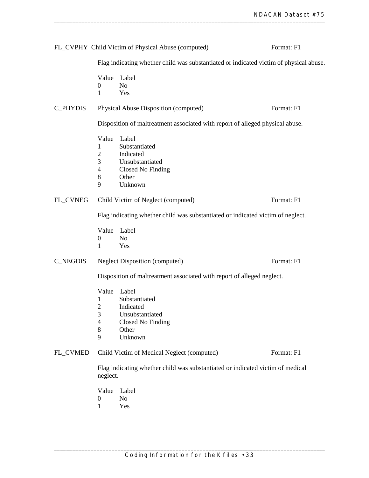|                                                                                            |                                                                                        | FL_CVPHY Child Victim of Physical Abuse (computed)                                              | Format: F1 |  |
|--------------------------------------------------------------------------------------------|----------------------------------------------------------------------------------------|-------------------------------------------------------------------------------------------------|------------|--|
|                                                                                            | Flag indicating whether child was substantiated or indicated victim of physical abuse. |                                                                                                 |            |  |
|                                                                                            | Value<br>$\boldsymbol{0}$<br>1                                                         | Label<br>N <sub>o</sub><br>Yes                                                                  |            |  |
| C_PHYDIS                                                                                   |                                                                                        | Physical Abuse Disposition (computed)                                                           | Format: F1 |  |
|                                                                                            |                                                                                        | Disposition of maltreatment associated with report of alleged physical abuse.                   |            |  |
|                                                                                            | Value<br>1<br>$\overline{2}$<br>3<br>$\overline{\mathcal{A}}$<br>8<br>9                | Label<br>Substantiated<br>Indicated<br>Unsubstantiated<br>Closed No Finding<br>Other<br>Unknown |            |  |
| FL_CVNEG                                                                                   |                                                                                        | Child Victim of Neglect (computed)                                                              | Format: F1 |  |
|                                                                                            |                                                                                        | Flag indicating whether child was substantiated or indicated victim of neglect.                 |            |  |
|                                                                                            | Value<br>$\boldsymbol{0}$<br>1                                                         | Label<br>N <sub>o</sub><br>Yes                                                                  |            |  |
| <b>C_NEGDIS</b>                                                                            |                                                                                        | <b>Neglect Disposition (computed)</b>                                                           | Format: F1 |  |
|                                                                                            | Disposition of maltreatment associated with report of alleged neglect.                 |                                                                                                 |            |  |
|                                                                                            | Value<br>1<br>$\overline{c}$<br>3<br>4<br>8<br>9                                       | Label<br>Substantiated<br>Indicated<br>Unsubstantiated<br>Closed No Finding<br>Other<br>Unknown |            |  |
| FL_CVMED                                                                                   |                                                                                        | Child Victim of Medical Neglect (computed)                                                      | Format: F1 |  |
| Flag indicating whether child was substantiated or indicated victim of medical<br>neglect. |                                                                                        |                                                                                                 |            |  |
|                                                                                            | Value<br>$\theta$<br>1                                                                 | Label<br>N <sub>o</sub><br>Yes                                                                  |            |  |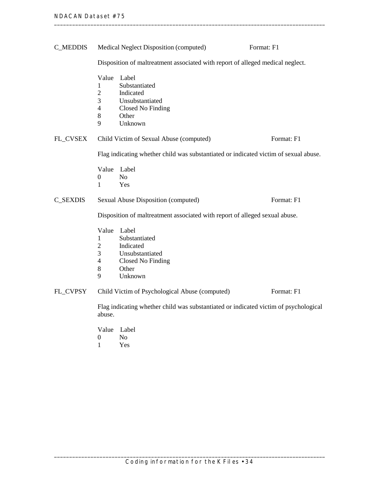| <b>C_MEDDIS</b> |                                                                                      | Medical Neglect Disposition (computed)                                                          | Format: F1 |  |
|-----------------|--------------------------------------------------------------------------------------|-------------------------------------------------------------------------------------------------|------------|--|
|                 | Disposition of maltreatment associated with report of alleged medical neglect.       |                                                                                                 |            |  |
|                 | Value<br>1<br>$\overline{2}$<br>3<br>$\overline{4}$<br>8<br>9                        | Label<br>Substantiated<br>Indicated<br>Unsubstantiated<br>Closed No Finding<br>Other<br>Unknown |            |  |
| FL_CVSEX        |                                                                                      | Child Victim of Sexual Abuse (computed)                                                         | Format: F1 |  |
|                 | Flag indicating whether child was substantiated or indicated victim of sexual abuse. |                                                                                                 |            |  |
|                 | Value Label<br>0<br>1                                                                | N <sub>o</sub><br>Yes                                                                           |            |  |
| <b>C_SEXDIS</b> |                                                                                      | Sexual Abuse Disposition (computed)                                                             | Format: F1 |  |
|                 | Disposition of maltreatment associated with report of alleged sexual abuse.          |                                                                                                 |            |  |
|                 | Value<br>1<br>$\overline{2}$<br>3<br>$\overline{4}$<br>8<br>9                        | Label<br>Substantiated<br>Indicated<br>Unsubstantiated<br>Closed No Finding<br>Other<br>Unknown |            |  |
| FL_CVPSY        |                                                                                      | Child Victim of Psychological Abuse (computed)                                                  | Format: F1 |  |
|                 | abuse.                                                                               | Flag indicating whether child was substantiated or indicated victim of psychological            |            |  |
|                 |                                                                                      | Value Label                                                                                     |            |  |

0 No<br>1 Yes 1 Yes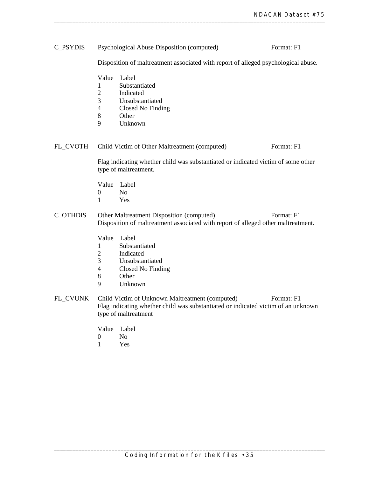| C_PSYDIS        |                                                                                                                                              | Psychological Abuse Disposition (computed)                                                                                                                                 | Format: F1 |  |  |
|-----------------|----------------------------------------------------------------------------------------------------------------------------------------------|----------------------------------------------------------------------------------------------------------------------------------------------------------------------------|------------|--|--|
|                 |                                                                                                                                              | Disposition of maltreatment associated with report of alleged psychological abuse.                                                                                         |            |  |  |
|                 | Value<br>1<br>$\overline{2}$<br>3<br>$\overline{4}$<br>8<br>9                                                                                | Label<br>Substantiated<br>Indicated<br>Unsubstantiated<br>Closed No Finding<br>Other<br>Unknown                                                                            |            |  |  |
| FL_CVOTH        |                                                                                                                                              | Child Victim of Other Maltreatment (computed)                                                                                                                              | Format: F1 |  |  |
|                 | Flag indicating whether child was substantiated or indicated victim of some other<br>type of maltreatment.                                   |                                                                                                                                                                            |            |  |  |
|                 | Value<br>$\boldsymbol{0}$<br>$\mathbf{1}$                                                                                                    | Label<br>N <sub>o</sub><br>Yes                                                                                                                                             |            |  |  |
| <b>C_OTHDIS</b> | Format: F1<br>Other Maltreatment Disposition (computed)<br>Disposition of maltreatment associated with report of alleged other maltreatment. |                                                                                                                                                                            |            |  |  |
|                 | Value<br>1<br>$\overline{2}$<br>3<br>$\overline{4}$<br>8<br>9                                                                                | Label<br>Substantiated<br>Indicated<br>Unsubstantiated<br>Closed No Finding<br>Other<br>Unknown                                                                            |            |  |  |
| FL_CVUNK        |                                                                                                                                              | Child Victim of Unknown Maltreatment (computed)<br>Format: F1<br>Flag indicating whether child was substantiated or indicated victim of an unknown<br>type of maltreatment |            |  |  |
|                 | $\Omega$                                                                                                                                     | Value Label<br>$\mathbf{M}$                                                                                                                                                |            |  |  |

0 No<br>1 Yes 1 Yes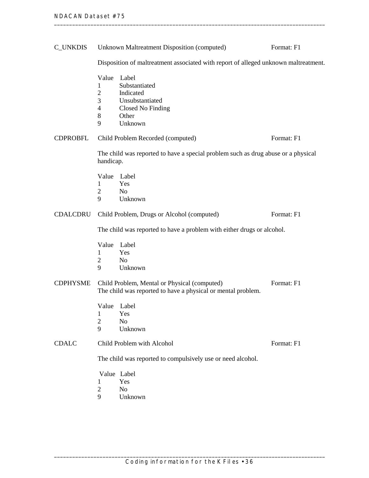| <b>C_UNKDIS</b> |                                                                        | Unknown Maltreatment Disposition (computed)                                                                  | Format: F1 |  |
|-----------------|------------------------------------------------------------------------|--------------------------------------------------------------------------------------------------------------|------------|--|
|                 |                                                                        | Disposition of maltreatment associated with report of alleged unknown maltreatment.                          |            |  |
|                 | Value<br>1<br>$\overline{c}$<br>3<br>4<br>8<br>9                       | Label<br>Substantiated<br>Indicated<br>Unsubstantiated<br>Closed No Finding<br>Other<br>Unknown              |            |  |
| <b>CDPROBFL</b> |                                                                        | Child Problem Recorded (computed)                                                                            | Format: F1 |  |
|                 | handicap.                                                              | The child was reported to have a special problem such as drug abuse or a physical                            |            |  |
|                 | Value<br>1<br>$\overline{2}$<br>9                                      | Label<br>Yes<br>N <sub>o</sub><br>Unknown                                                                    |            |  |
| <b>CDALCDRU</b> |                                                                        | Child Problem, Drugs or Alcohol (computed)                                                                   | Format: F1 |  |
|                 | The child was reported to have a problem with either drugs or alcohol. |                                                                                                              |            |  |
|                 | Value<br>1<br>2<br>9                                                   | Label<br>Yes<br>N <sub>o</sub><br>Unknown                                                                    |            |  |
| <b>CDPHYSME</b> |                                                                        | Child Problem, Mental or Physical (computed)<br>The child was reported to have a physical or mental problem. | Format: F1 |  |
|                 | Value Label<br>$\mathbf{1}$<br>$\mathfrak{2}$<br>9                     | Yes<br>No<br>Unknown                                                                                         |            |  |
| <b>CDALC</b>    | Child Problem with Alcohol<br>Format: F1                               |                                                                                                              |            |  |
|                 | The child was reported to compulsively use or need alcohol.            |                                                                                                              |            |  |
|                 | 1<br>$\mathbf{2}$<br>9                                                 | Value Label<br>Yes<br>N <sub>o</sub><br>Unknown                                                              |            |  |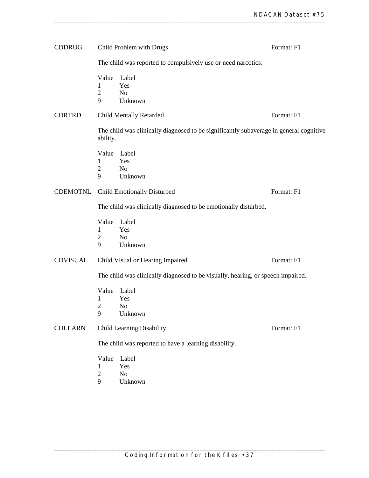| <b>CDDRUG</b>   |                                                       | Child Problem with Drugs                                                               | Format: F1 |  |
|-----------------|-------------------------------------------------------|----------------------------------------------------------------------------------------|------------|--|
|                 |                                                       | The child was reported to compulsively use or need narcotics.                          |            |  |
|                 | Value<br>1<br>$\mathbf{2}$<br>9                       | Label<br>Yes<br>N <sub>o</sub><br>Unknown                                              |            |  |
| <b>CDRTRD</b>   |                                                       | <b>Child Mentally Retarded</b>                                                         | Format: F1 |  |
|                 | ability.                                              | The child was clinically diagnosed to be significantly subaverage in general cognitive |            |  |
|                 | 1<br>$\overline{2}$<br>9                              | Value Label<br>Yes<br>N <sub>o</sub><br>Unknown                                        |            |  |
| <b>CDEMOTNL</b> |                                                       | Child Emotionally Disturbed                                                            | Format: F1 |  |
|                 |                                                       | The child was clinically diagnosed to be emotionally disturbed.                        |            |  |
|                 | Value<br>1<br>$\overline{2}$<br>9                     | Label<br>Yes<br>N <sub>o</sub><br>Unknown                                              |            |  |
| <b>CDVISUAL</b> |                                                       | Child Visual or Hearing Impaired                                                       | Format: F1 |  |
|                 |                                                       | The child was clinically diagnosed to be visually, hearing, or speech impaired.        |            |  |
|                 | Value<br>1<br>2<br>9                                  | Label<br>Yes<br>N <sub>o</sub><br>Unknown                                              |            |  |
| <b>CDLEARN</b>  |                                                       | Child Learning Disability                                                              | Format: F1 |  |
|                 | The child was reported to have a learning disability. |                                                                                        |            |  |
|                 | Value<br>$\overline{2}$<br>9                          | Label<br>Yes<br>N <sub>o</sub><br>Unknown                                              |            |  |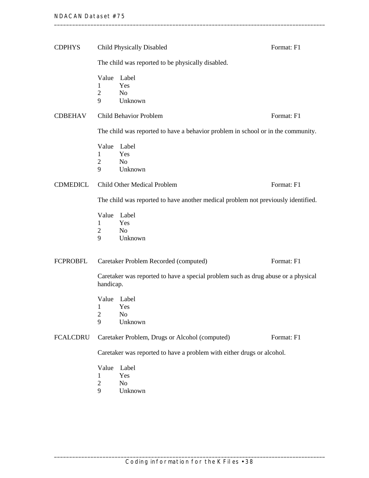| <b>CDPHYS</b>   | Child Physically Disabled                                                                      |                                                                                  | Format: F1 |  |
|-----------------|------------------------------------------------------------------------------------------------|----------------------------------------------------------------------------------|------------|--|
|                 |                                                                                                | The child was reported to be physically disabled.                                |            |  |
|                 | Value<br>1<br>$\overline{2}$<br>9                                                              | Label<br>Yes<br>N <sub>o</sub><br>Unknown                                        |            |  |
| <b>CDBEHAV</b>  |                                                                                                | <b>Child Behavior Problem</b>                                                    | Format: F1 |  |
|                 |                                                                                                | The child was reported to have a behavior problem in school or in the community. |            |  |
|                 | Value<br>1<br>$\overline{2}$<br>9                                                              | Label<br>Yes<br>N <sub>o</sub><br>Unknown                                        |            |  |
| <b>CDMEDICL</b> |                                                                                                | Child Other Medical Problem                                                      | Format: F1 |  |
|                 | The child was reported to have another medical problem not previously identified.              |                                                                                  |            |  |
|                 | Value<br>$\mathbf{1}$<br>$\overline{2}$<br>9                                                   | Label<br>Yes<br>No<br>Unknown                                                    |            |  |
| <b>FCPROBFL</b> |                                                                                                | Caretaker Problem Recorded (computed)                                            | Format: F1 |  |
|                 | Caretaker was reported to have a special problem such as drug abuse or a physical<br>handicap. |                                                                                  |            |  |
|                 | 1<br>$\overline{c}$<br>9                                                                       | Value Label<br>Yes<br>N <sub>0</sub><br>Unknown                                  |            |  |
| <b>FCALCDRU</b> | Caretaker Problem, Drugs or Alcohol (computed)<br>Format: F1                                   |                                                                                  |            |  |
|                 | Caretaker was reported to have a problem with either drugs or alcohol.                         |                                                                                  |            |  |
|                 | Value<br>1<br>$\overline{2}$<br>9                                                              | Label<br>Yes<br>No<br>Unknown                                                    |            |  |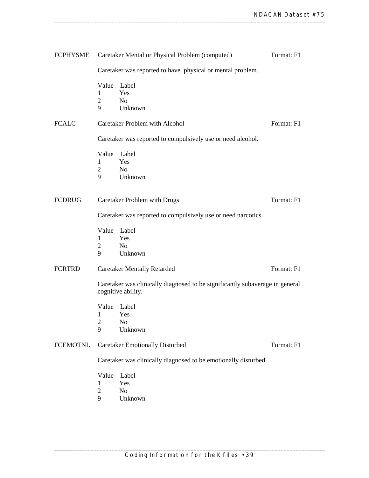| <b>FCPHYSME</b> |                                                                                                    | Caretaker Mental or Physical Problem (computed)             | Format: F1 |  |  |
|-----------------|----------------------------------------------------------------------------------------------------|-------------------------------------------------------------|------------|--|--|
|                 | Caretaker was reported to have physical or mental problem.                                         |                                                             |            |  |  |
|                 | Value                                                                                              | Label                                                       |            |  |  |
|                 | 1                                                                                                  | Yes                                                         |            |  |  |
|                 | $\overline{2}$                                                                                     | N <sub>0</sub>                                              |            |  |  |
|                 | 9                                                                                                  | Unknown                                                     |            |  |  |
| <b>FCALC</b>    |                                                                                                    | <b>Caretaker Problem with Alcohol</b>                       | Format: F1 |  |  |
|                 |                                                                                                    | Caretaker was reported to compulsively use or need alcohol. |            |  |  |
|                 |                                                                                                    | Value Label                                                 |            |  |  |
|                 | 1                                                                                                  | Yes                                                         |            |  |  |
|                 | 2                                                                                                  | N <sub>o</sub>                                              |            |  |  |
|                 | 9                                                                                                  | Unknown                                                     |            |  |  |
| <b>FCDRUG</b>   |                                                                                                    | Caretaker Problem with Drugs                                | Format: F1 |  |  |
|                 | Caretaker was reported to compulsively use or need narcotics.                                      |                                                             |            |  |  |
|                 |                                                                                                    |                                                             |            |  |  |
|                 |                                                                                                    | Value Label                                                 |            |  |  |
|                 | 1                                                                                                  | Yes                                                         |            |  |  |
|                 | $\overline{2}$                                                                                     | N <sub>0</sub>                                              |            |  |  |
|                 | 9                                                                                                  | Unknown                                                     |            |  |  |
| <b>FCRTRD</b>   |                                                                                                    | <b>Caretaker Mentally Retarded</b>                          | Format: F1 |  |  |
|                 | Caretaker was clinically diagnosed to be significantly subaverage in general<br>cognitive ability. |                                                             |            |  |  |
|                 |                                                                                                    | Value Label                                                 |            |  |  |
|                 | 1                                                                                                  | Yes                                                         |            |  |  |
|                 | $\overline{c}$                                                                                     | N <sub>o</sub>                                              |            |  |  |
|                 | 9                                                                                                  | Unknown                                                     |            |  |  |
| <b>FCEMOTNL</b> | <b>Caretaker Emotionally Disturbed</b><br>Format: F1                                               |                                                             |            |  |  |
|                 | Caretaker was clinically diagnosed to be emotionally disturbed.                                    |                                                             |            |  |  |
|                 | Value                                                                                              | Label                                                       |            |  |  |
|                 | 1                                                                                                  | Yes                                                         |            |  |  |
|                 | $\overline{2}$                                                                                     | No                                                          |            |  |  |
|                 | 9                                                                                                  | Unknown                                                     |            |  |  |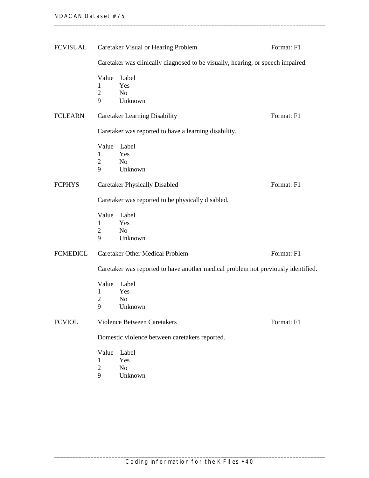| FCVISUAL        | Caretaker Visual or Hearing Problem<br>Format: F1                                 |                                                                                 |            |  |  |
|-----------------|-----------------------------------------------------------------------------------|---------------------------------------------------------------------------------|------------|--|--|
|                 |                                                                                   | Caretaker was clinically diagnosed to be visually, hearing, or speech impaired. |            |  |  |
|                 | Value<br>1<br>$\overline{2}$<br>9                                                 | Label<br>Yes<br>N <sub>o</sub><br>Unknown                                       |            |  |  |
| <b>FCLEARN</b>  |                                                                                   | <b>Caretaker Learning Disability</b>                                            | Format: F1 |  |  |
|                 |                                                                                   | Caretaker was reported to have a learning disability.                           |            |  |  |
|                 | 1<br>$\overline{2}$<br>9                                                          | Value Label<br>Yes<br>N <sub>o</sub><br>Unknown                                 |            |  |  |
| <b>FCPHYS</b>   |                                                                                   | <b>Caretaker Physically Disabled</b>                                            | Format: F1 |  |  |
|                 | Caretaker was reported to be physically disabled.                                 |                                                                                 |            |  |  |
|                 | Value<br>1<br>2<br>9                                                              | Label<br>Yes<br>N <sub>o</sub><br>Unknown                                       |            |  |  |
| <b>FCMEDICL</b> |                                                                                   | <b>Caretaker Other Medical Problem</b>                                          | Format: F1 |  |  |
|                 | Caretaker was reported to have another medical problem not previously identified. |                                                                                 |            |  |  |
|                 | Value<br>1<br>2<br>9                                                              | Label<br>Yes<br>N <sub>o</sub><br>Unknown                                       |            |  |  |
| <b>FCVIOL</b>   | <b>Violence Between Caretakers</b><br>Format: F1                                  |                                                                                 |            |  |  |
|                 | Domestic violence between caretakers reported.                                    |                                                                                 |            |  |  |
|                 | Value<br>1<br>$\overline{2}$<br>9                                                 | Label<br>Yes<br>N <sub>o</sub><br>Unknown                                       |            |  |  |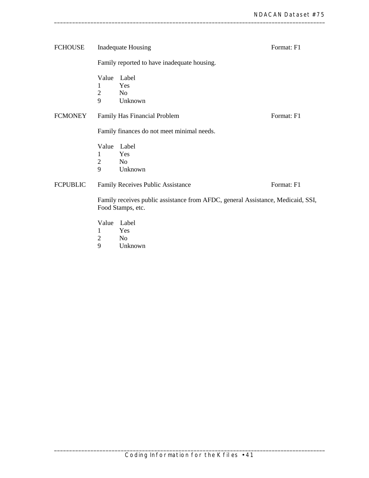| <b>FCHOUSE</b>  | Inadequate Housing                                                                                   | Format: F1                                      |            |  |  |  |  |
|-----------------|------------------------------------------------------------------------------------------------------|-------------------------------------------------|------------|--|--|--|--|
|                 |                                                                                                      | Family reported to have inadequate housing.     |            |  |  |  |  |
|                 | 1<br>$\overline{2}$<br>9                                                                             | Value Label<br>Yes<br>N <sub>0</sub><br>Unknown |            |  |  |  |  |
| <b>FCMONEY</b>  |                                                                                                      | Family Has Financial Problem                    | Format: F1 |  |  |  |  |
|                 | Family finances do not meet minimal needs.                                                           |                                                 |            |  |  |  |  |
|                 | Value<br>1<br>$\overline{2}$<br>9                                                                    | Label<br>Yes<br>No<br>Unknown                   |            |  |  |  |  |
| <b>FCPUBLIC</b> |                                                                                                      | Family Receives Public Assistance               | Format: F1 |  |  |  |  |
|                 | Family receives public assistance from AFDC, general Assistance, Medicaid, SSI,<br>Food Stamps, etc. |                                                 |            |  |  |  |  |
|                 | 1<br>2                                                                                               | Value Label<br>Yes<br>N <sub>o</sub>            |            |  |  |  |  |

9 Unknown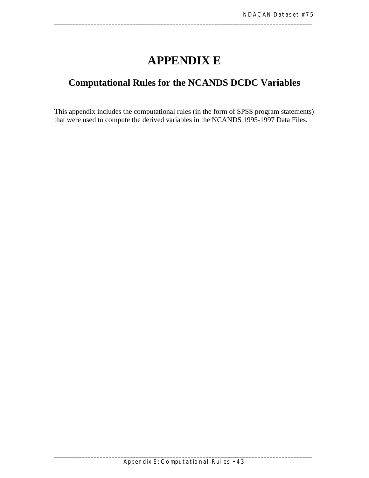# **APPENDIX E**

\_\_\_\_\_\_\_\_\_\_\_\_\_\_\_\_\_\_\_\_\_\_\_\_\_\_\_\_\_\_\_\_\_\_\_\_\_\_\_\_\_\_\_\_\_\_\_\_\_\_\_\_\_\_\_\_\_\_\_\_\_\_\_\_\_\_\_\_\_\_\_\_\_\_\_\_\_\_\_\_\_\_\_\_\_

## **Computational Rules for the NCANDS DCDC Variables**

This appendix includes the computational rules (in the form of SPSS program statements) that were used to compute the derived variables in the NCANDS 1995-1997 Data Files.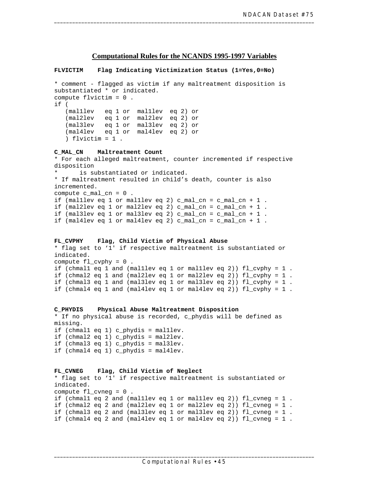### **Computational Rules for the NCANDS 1995-1997 Variables**

#### **FLVICTIM Flag Indicating Victimization Status (1=Yes,0=No)**

```
* comment - flagged as victim if any maltreatment disposition is 
substantiated * or indicated. 
compute flvictim = 0 . 
if ( 
   (mal1lev eq 1 or mal1lev eq 2) or 
   (mal2lev eq 1 or mal2lev eq 2) or 
   (mal3lev eq 1 or mal3lev eq 2) or 
   (mal4lev eq 1 or mal4lev eq 2) or 
   ) flvictim = 1 . 
C_MAL_CN Maltreatment Count 
* For each alleged maltreatment, counter incremented if respective 
disposition 
      is substantiated or indicated.
* If maltreatment resulted in child's death, counter is also 
incremented. 
compute c mal cn = 0.
if (mal1lev eq 1 or mal1lev eq 2) c_mal_cn = c_mal_cn + 1 . 
if (mal2lev eq 1 or mal2lev eq 2) c_mal_cn = c_mal_cn + 1 .
if (mal3lev eq 1 or mal3lev eq 2) c_mal_cn = c_mal_cn + 1 .
if (mal4lev eq 1 or mal4lev eq 2) c_{mal\_cn} = c_{mal\_cn} + 1.
FL_CVPHY Flag, Child Victim of Physical Abuse 
* flag set to '1' if respective maltreatment is substantiated or 
indicated. 
compute fl_cvphy = 0 . 
if (chmal1 eq 1 and (mal1lev eq 1 or mal1lev eq 2)) fl_cvphy = 1 . 
if (chmal2 eq 1 and (mal2lev eq 1 or mal2lev eq 2)) fl cvphy = 1.
if (chmal3 eq 1 and (mal3lev eq 1 or mal3lev eq 2)) fl_cvphy = 1 . 
if (chmal4 eq 1 and (mal4lev eq 1 or mal4lev eq 2)) fl_cvphy = 1 .
```

```
C_PHYDIS Physical Abuse Maltreatment Disposition 
* If no physical abuse is recorded, c_phydis will be defined as 
missing. 
if (chmal1 eq 1) c_phydis = mal1lev. 
if (chmal2 eq 1) c_phydis = mal2lev. 
if (chmal3 eq 1) c phydis = mal3lev.
if (chmal4 eq 1) c_phydis = mal4lev.
```

```
FL_CVNEG Flag, Child Victim of Neglect 
* flag set to '1' if respective maltreatment is substantiated or 
indicated. 
compute fl_cvneg = 0 . 
if (chmal1 eq 2 and (mal1lev eq 1 or mal1lev eq 2)) fl_cvneg = 1 . 
if (chmal2 eq 2 and (mal2lev eq 1 or mal2lev eq 2)) fl_cvneg = 1 . 
if (chmal3 eq 2 and (mal3lev eq 1 or mal3lev eq 2)) fl cvneq = 1.
if (chmal4 eq 2 and (mal4lev eq 1 or mal4lev eq 2)) fl cvneq = 1.
```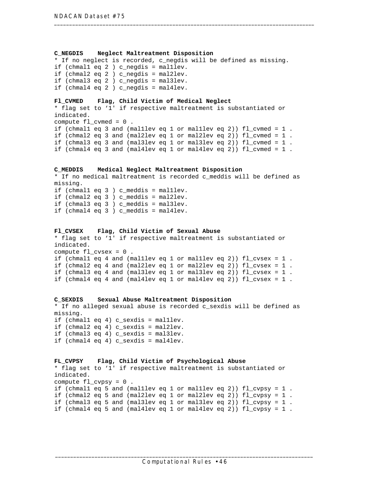#### **C\_NEGDIS Neglect Maltreatment Disposition**

\* If no neglect is recorded, c\_negdis will be defined as missing. if (chmal1 eq 2 ) c\_negdis = mal1lev. if (chmal2 eq 2 ) c\_negdis = mal2lev. if (chmal3 eq  $2$  ) c negdis = mal3lev. if (chmal4 eq 2 ) c\_negdis = mal4lev.

#### **Fl\_CVMED Flag, Child Victim of Medical Neglect**

\* flag set to '1' if respective maltreatment is substantiated or indicated. compute fl\_cvmed = 0 . if (chmal1 eq 3 and (mal1lev eq 1 or mal1lev eq 2)) fl\_cvmed = 1 . if (chmal2 eq 3 and (mal2lev eq 1 or mal2lev eq 2)) fl\_cvmed = 1 . if (chmal3 eq 3 and (mal3lev eq 1 or mal3lev eq 2)) fl\_cvmed = 1 . if (chmal4 eq 3 and (mal4lev eq 1 or mal4lev eq 2)) fl\_cvmed = 1 .

#### **C\_MEDDIS Medical Neglect Maltreatment Disposition**

\* If no medical maltreatment is recorded c\_meddis will be defined as missing. if (chmal1 eq 3 ) c\_meddis = mal1lev. if (chmal2 eq 3 ) c meddis = mal2lev. if (chmal3 eq 3 ) c\_meddis = mal3lev. if (chmal4 eq 3 ) c\_meddis = mal4lev.

#### **Fl\_CVSEX Flag, Child Victim of Sexual Abuse**

\* flag set to '1' if respective maltreatment is substantiated or indicated. compute fl\_cvsex = 0 . if (chmal1 eq 4 and (mal1lev eq 1 or mal1lev eq 2)) fl\_cvsex = 1 . if (chmal2 eq 4 and (mal2lev eq 1 or mal2lev eq 2)) fl\_cvsex = 1 . if (chmal3 eq 4 and (mal3lev eq 1 or mal3lev eq 2)) fl\_cvsex = 1 . if (chmal4 eq 4 and (mal4lev eq 1 or mal4lev eq 2)) fl\_cvsex = 1 .

```
C_SEXDIS Sexual Abuse Maltreatment Disposition 
* If no alleged sexual abuse is recorded c_sexdis will be defined as 
missing. 
if (chmal1 eq 4) c_sexdis = mal1lev. 
if (chmal2 eq 4) c_sexdis = mal2lev. 
if (chmal3 eq 4) c_sexdis = mal3lev. 
if (chmal4 eq 4) c sexdis = mal4lev.
```

```
FL_CVPSY Flag, Child Victim of Psychological Abuse 
* flag set to '1' if respective maltreatment is substantiated or 
indicated. 
compute fl_cvpsy = 0 . 
if (chmal1 eq 5 and (mal1lev eq 1 or mal1lev eq 2)) fl_cvpsy = 1 . 
if (chmal2 eq 5 and (mal2lev eq 1 or mal2lev eq 2)) fl_cvpsy = 1 . 
if (chmal3 eq 5 and (mal3lev eq 1 or mal3lev eq 2)) fl_cvpsy = 1 . 
if (chmal4 eq 5 and (mal4lev eq 1 or mal4lev eq 2)) fl cvpsy = 1.
```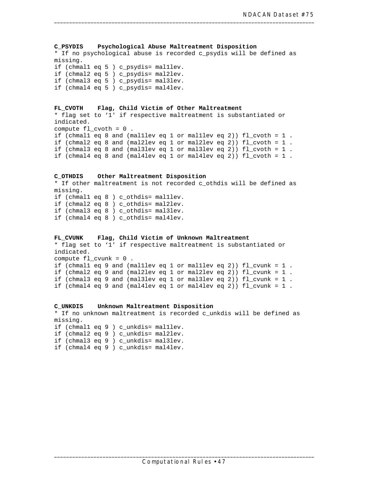**C\_PSYDIS Psychological Abuse Maltreatment Disposition** \* If no psychological abuse is recorded c\_psydis will be defined as missing. if (chmal1 eq 5 ) c\_psydis= mal1lev. if (chmal2 eq 5 ) c\_psydis= mal2lev. if (chmal3 eq 5 ) c\_psydis= mal3lev. if (chmal4 eq 5 ) c\_psydis= mal4lev. **FL\_CVOTH Flag, Child Victim of Other Maltreatment** \* flag set to '1' if respective maltreatment is substantiated or indicated. compute fl\_cvoth = 0 . if (chmal1 eq 8 and (mal1lev eq 1 or mal1lev eq 2)) fl\_cvoth = 1 . if (chmal2 eq 8 and (mal2lev eq 1 or mal2lev eq 2)) fl\_cvoth = 1 . if (chmal3 eq 8 and (mal3lev eq 1 or mal3lev eq 2)) fl\_cvoth = 1 . if (chmal4 eq 8 and (mal4lev eq 1 or mal4lev eq 2)) fl\_cvoth = 1 . **C\_OTHDIS Other Maltreatment Disposition** \* If other maltreatment is not recorded c\_othdis will be defined as missing. if (chmal1 eq 8 ) c\_othdis= mal1lev. if (chmal2 eq 8 ) c\_othdis= mal2lev. if (chmal3 eq 8 ) c\_othdis= mal3lev. if (chmal4 eq 8 ) c\_othdis= mal4lev. **FL\_CVUNK Flag, Child Victim of Unknown Maltreatment** \* flag set to '1' if respective maltreatment is substantiated or indicated. compute fl\_cvunk = 0 . if (chmal1 eq 9 and (mal1lev eq 1 or mal1lev eq 2)) fl\_cvunk = 1 . if (chmal2 eq 9 and (mal2lev eq 1 or mal2lev eq 2)) fl\_cvunk = 1 . if (chmal3 eq 9 and (mal3lev eq 1 or mal3lev eq 2)) fl\_cvunk = 1 . if (chmal4 eq 9 and (mal4lev eq 1 or mal4lev eq 2)) fl\_cvunk = 1 .

**C\_UNKDIS Unknown Maltreatment Disposition** \* If no unknown maltreatment is recorded c\_unkdis will be defined as missing. if (chmal1 eq 9 ) c\_unkdis= mal1lev.

if (chmal2 eq 9 ) c\_unkdis= mal2lev. if (chmal3 eq 9 ) c\_unkdis= mal3lev. if (chmal4 eq 9 ) c\_unkdis= mal4lev.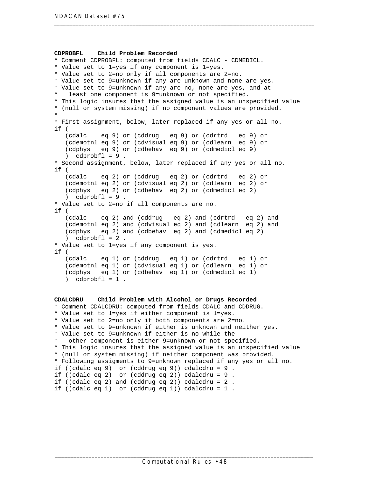```
 
(cdalc eq 9) or (cddrug eq 9) or (cdrtrd eq 9) or 

(cdalc eq 2) or (cddrug eq 2) or (cdrtrd eq 2) or 

(cdalc eq 2) and (cddrug eq 2) and (cdrtrd eq 2) and 

(cdalc eq 1) or (cddrug eq 1) or (cdrtrd eq 1) or 
CDPROBFL Child Problem Recorded 
* Comment CDPROBFL: computed from fields CDALC - CDMEDICL. 
* Value set to 1=yes if any component is 1=yes. 
* Value set to 2=no only if all components are 2=no. 
* Value set to 9=unknown if any are unknown and none are yes. 
* Value set to 9=unknown if any are no, none are yes, and at 
  least one component is 9=unknown or not specified.
* This logic insures that the assigned value is an unspecified value 
* (null or system missing) if no component values are provided. 
* 
* First assignment, below, later replaced if any yes or all no. 
if ( 
   (cdemotnl eq 9) or (cdvisual eq 9) or (cdlearn eq 9) or 
   (cdphys eq 9) or (cdbehav eq 9) or (cdmedicl eq 9) 
   ) cdprobfl = 9.
* Second assignment, below, later replaced if any yes or all no. 
if ( 
   (cdemotnl eq 2) or (cdvisual eq 2) or (cdlearn eq 2) or 
   (cdphys eq 2) or (cdbehav eq 2) or (cdmedicl eq 2) 
   \cdot cdprobfl = 9.
* Value set to 2=no if all components are no. 
if ( 
   (cdemotnl eq 2) and (cdvisual eq 2) and (cdlearn eq 2) and 
   (cdphys eq 2) and (cdbehav eq 2) and (cdmedicl eq 2) 
   \cdot cdprobfl = 2.
* Value set to 1=yes if any component is yes. 
if ( 
   (cdemotnl eq 1) or (cdvisual eq 1) or (cdlearn eq 1) or 
   (cdphys eq 1) or (cdbehav eq 1) or (cdmedicl eq 1) 
   ) cdprobfl = 1.
CDALCDRU Child Problem with Alcohol or Drugs Recorded 
* Comment CDALCDRU: computed from fields CDALC and CDDRUG. 
* Value set to 1=yes if either component is 1=yes. 
* Value set to 2=no only if both components are 2=no. 
* Value set to 9=unknown if either is unknown and neither yes. 
* Value set to 9=unknown if either is no while the 
   other component is either 9=unknown or not specified.
* This logic insures that the assigned value is an unspecified value 
* (null or system missing) if neither component was provided. 
* Following assigments to 9=unknown replaced if any yes or all no. 
if ((cdalc eq 9) or (cddrug eq 9)) cdalcdru = 9 . 
if ((cdalc eq 2) or (cddrug eq 2)) cdalcdru = 9 . 
if ((cdalc eq 2) and (cddrug eq 2)) cdalcdru = 2 . 
if ((cdalc eq 1) or (cddrug eq 1)) cdalcdru = 1 .
```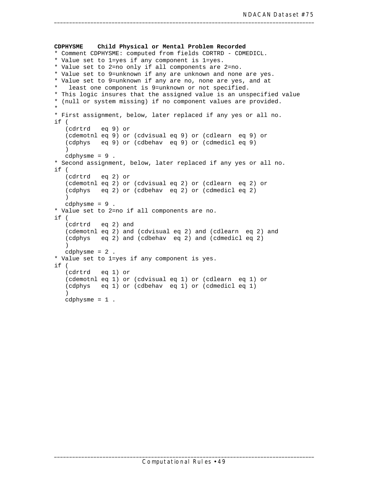```
CDPHYSME Child Physical or Mental Problem Recorded 
* Comment CDPHYSME: computed from fields CDRTRD - CDMEDICL. 
* Value set to 1=yes if any component is 1=yes. 
* Value set to 2=no only if all components are 2=no. 
* Value set to 9=unknown if any are unknown and none are yes. 
* Value set to 9=unknown if any are no, none are yes, and at 
   least one component is 9=unknown or not specified.
* This logic insures that the assigned value is an unspecified value 
* (null or system missing) if no component values are provided. 
* 
* First assignment, below, later replaced if any yes or all no. 
if ( 
   (cdrtrd eq 9) or 
   (cdemotnl eq 9) or (cdvisual eq 9) or (cdlearn eq 9) or 
   (cdphys eq 9) or (cdbehav eq 9) or (cdmedicl eq 9) 
   \left( \right)cdphysme = 9 . 
* Second assignment, below, later replaced if any yes or all no. 
if ( 
   (cdrtrd eq 2) or 
   (cdemotnl eq 2) or (cdvisual eq 2) or (cdlearn eq 2) or 
   (cdphys eq 2) or (cdbehav eq 2) or (cdmedicl eq 2) 
   ) 
   cdphysme = 9 . 
* Value set to 2=no if all components are no. 
if ( 
   (cdrtrd eq 2) and 
   (cdemotnl eq 2) and (cdvisual eq 2) and (cdlearn eq 2) and 
   (cdphys eq 2) and (cdbehav eq 2) and (cdmedicl eq 2) 
   ) 
   cdphysme = 2 . 
* Value set to 1=yes if any component is yes. 
if ( 
   (cdrtrd eq 1) or 
   (cdemotnl eq 1) or (cdvisual eq 1) or (cdlearn eq 1) or 
   (cdphys eq 1) or (cdbehav eq 1) or (cdmedicl eq 1) 
   ) 
   cdphysme = 1 .
```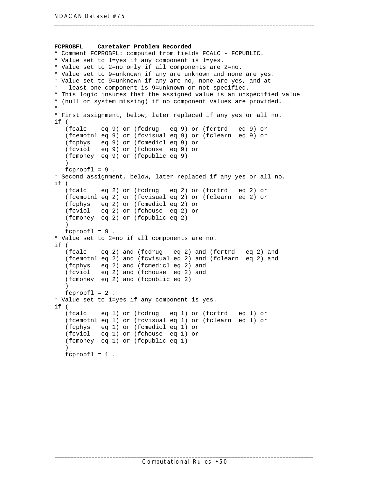```
 
(fcalc eq 9) or (fcdrug eq 9) or (fcrtrd eq 9) or 

(fcalc eq 2) or (fcdrug eq 2) or (fcrtrd eq 2) or 

(fcalc eq 2) and (fcdrug eq 2) and (fcrtrd eq 2) and 

(fcalc eq 1) or (fcdrug eq 1) or (fcrtrd eq 1) or 
FCPROBFL Caretaker Problem Recorded 
* Comment FCPROBFL: computed from fields FCALC - FCPUBLIC. 
* Value set to 1=yes if any component is 1=yes. 
* Value set to 2=no only if all components are 2=no. 
* Value set to 9=unknown if any are unknown and none are yes. 
* Value set to 9=unknown if any are no, none are yes, and at 
  least one component is 9=unknown or not specified.
* This logic insures that the assigned value is an unspecified value 
* (null or system missing) if no component values are provided. 
* 
* First assignment, below, later replaced if any yes or all no. 
if ( 
   (fcemotnl eq 9) or (fcvisual eq 9) or (fclearn eq 9) or 
   (fcphys eq 9) or (fcmedicl eq 9) or 
   (fcviol eq 9) or (fchouse eq 9) or 
   (fcmoney eq 9) or (fcpublic eq 9) 
   ) 
   fcprobfl = 9.
* Second assignment, below, later replaced if any yes or all no. 
if ( 
   (fcemotnl eq 2) or (fcvisual eq 2) or (fclearn eq 2) or 
   (fcphys eq 2) or (fcmedicl eq 2) or 
   (fcviol eq 2) or (fchouse eq 2) or 
   (fcmoney eq 2) or (fcpublic eq 2) 
   ) 
   fcprobfl = 9.
* Value set to 2=no if all components are no. 
if ( 
   (fcemotnl eq 2) and (fcvisual eq 2) and (fclearn eq 2) and 
   (fcphys eq 2) and (fcmedicl eq 2) and 
   (fcviol eq 2) and (fchouse eq 2) and 
   (fcmoney eq 2) and (fcpublic eq 2) 
   ) 
   fcprob1 = 2.
* Value set to 1=yes if any component is yes. 
if ( 
   (fcemotnl eq 1) or (fcvisual eq 1) or (fclearn eq 1) or 
   (fcphys eq 1) or (fcmedicl eq 1) or 
   (fcviol eq 1) or (fchouse eq 1) or 
   (fcmoney eq 1) or (fcpublic eq 1) 
   \lambdafcprobfl = 1.
```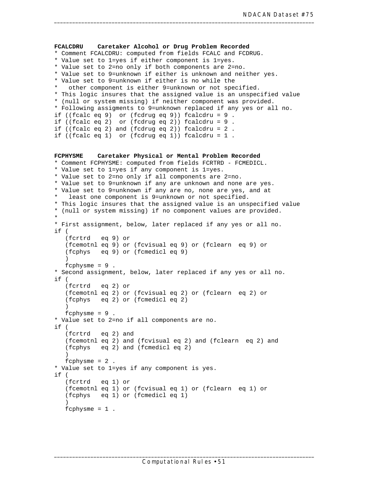```
FCALCDRU Caretaker Alcohol or Drug Problem Recorded 
* Comment FCALCDRU: computed from fields FCALC and FCDRUG. 
* Value set to 1=yes if either component is 1=yes. 
* Value set to 2=no only if both components are 2=no. 
* Value set to 9=unknown if either is unknown and neither yes. 
* Value set to 9=unknown if either is no while the 
   other component is either 9=unknown or not specified.
* This logic insures that the assigned value is an unspecified value 
* (null or system missing) if neither component was provided. 
* Following assigments to 9=unknown replaced if any yes or all no. 
if ((fcalc eq 9) or (fcdrug eq 9)) fcalcdru = 9 . 
if ((fcalc eq 2) or (fcdrug eq 2)) fcalcdru = 9 . 
if ((fcalc eq 2) and (fcdrug eq 2)) fcalcdru = 2 . 
if ((fcalc eq 1) or (fcdrug eq 1)) fcalcdru = 1 . 
FCPHYSME Caretaker Physical or Mental Problem Recorded 
* Comment FCPHYSME: computed from fields FCRTRD - FCMEDICL. 
* Value set to 1=yes if any component is 1=yes. 
* Value set to 2=no only if all components are 2=no. 
* Value set to 9=unknown if any are unknown and none are yes. 
* Value set to 9=unknown if any are no, none are yes, and at 
  least one component is 9=unknown or not specified.
* This logic insures that the assigned value is an unspecified value 
* (null or system missing) if no component values are provided. 
* 
* First assignment, below, later replaced if any yes or all no. 
if ( 
   (fcrtrd eq 9) or 
   (fcemotnl eq 9) or (fcvisual eq 9) or (fclearn eq 9) or 
   (fcphys eq 9) or (fcmedicl eq 9) 
   ) 
   fcphysme = 9.
* Second assignment, below, later replaced if any yes or all no. 
if ( 
   (fcrtrd eq 2) or 
   (fcemotnl eq 2) or (fcvisual eq 2) or (fclearn eq 2) or 
   (fcphys eq 2) or (fcmedicl eq 2) 
   ) 
   fcphysme = 9.
* Value set to 2=no if all components are no. 
if ( 
   (fcrtrd eq 2) and 
   (fcemotnl eq 2) and (fcvisual eq 2) and (fclearn eq 2) and 
   (fcphys eq 2) and (fcmedicl eq 2) 
   ) 
   fcphysme = 2 . 
* Value set to 1=yes if any component is yes. 
if ( 
   (fcrtrd eq 1) or 
   (fcemotnl eq 1) or (fcvisual eq 1) or (fclearn eq 1) or 
   (fcphys eq 1) or (fcmedicl eq 1) 
   ) 
   fcphysme = 1.
```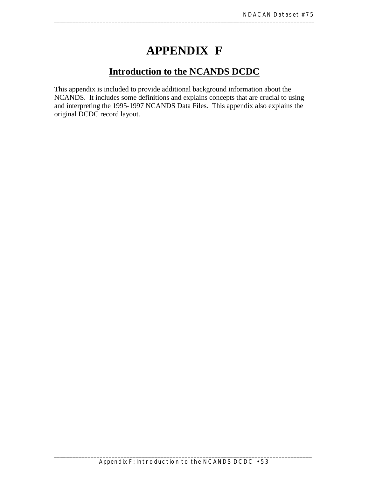# **APPENDIX F**

## **Introduction to the NCANDS DCDC**

This appendix is included to provide additional background information about the NCANDS. It includes some definitions and explains concepts that are crucial to using and interpreting the 1995-1997 NCANDS Data Files. This appendix also explains the original DCDC record layout.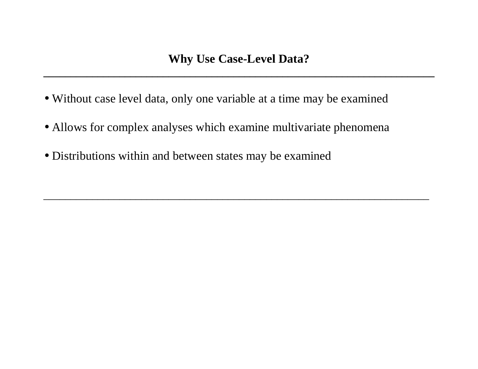**\_\_\_\_\_\_\_\_\_\_\_\_\_\_\_\_\_\_\_\_\_\_\_\_\_\_\_\_\_\_\_\_\_\_\_\_\_\_\_\_\_\_\_\_\_\_\_\_\_\_\_\_\_\_\_\_\_\_\_\_\_\_\_\_\_\_\_\_\_\_\_\_** 

 $\qquad \qquad -$  . The contribution of the contribution of the contribution of the contribution of the contribution of the contribution of the contribution of the contribution of the contribution of the contribution of the contr

- Without case level data, only one variable at a time may be examined
- Allows for complex analyses which examine multivariate phenomena
- Distributions within and between states may be examined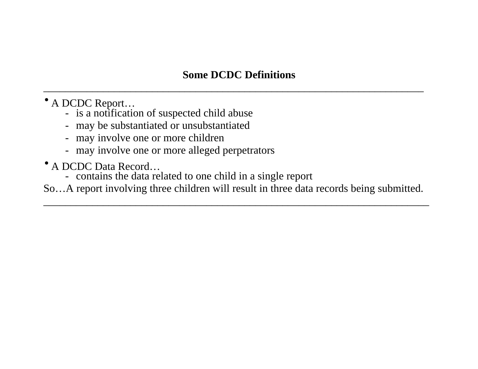# **Some DCDC Definitions**

\_\_\_\_\_\_\_\_\_\_\_\_\_\_\_\_\_\_\_\_\_\_\_\_\_\_\_\_\_\_\_\_\_\_\_\_\_\_\_\_\_\_\_\_\_\_\_\_\_\_\_\_\_\_\_\_\_\_\_\_\_\_\_\_\_\_\_\_\_\_

- A DCDC Report...<br>- is a notification of suspected child abuse
	- may be substantiated or unsubstantiated
	- may involve one or more children
	- may involve one or more alleged perpetrators
- A DCDC Data Record…
	- contains the data related to one child in a single report

So…A report involving three children will result in three data records being submitted.

\_\_\_\_\_\_\_\_\_\_\_\_\_\_\_\_\_\_\_\_\_\_\_\_\_\_\_\_\_\_\_\_\_\_\_\_\_\_\_\_\_\_\_\_\_\_\_\_\_\_\_\_\_\_\_\_\_\_\_\_\_\_\_\_\_\_\_\_\_\_\_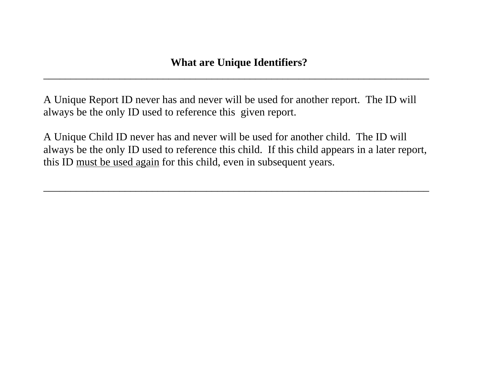\_\_\_\_\_\_\_\_\_\_\_\_\_\_\_\_\_\_\_\_\_\_\_\_\_\_\_\_\_\_\_\_\_\_\_\_\_\_\_\_\_\_\_\_\_\_\_\_\_\_\_\_\_\_\_\_\_\_\_\_\_\_\_\_\_\_\_\_\_\_\_

A Unique Report ID never has and never will be used for another report. The ID will always be the only ID used to reference this given report.

A Unique Child ID never has and never will be used for another child. The ID will always be the only ID used to reference this child. If this child appears in a later report, this ID must be used again for this child, even in subsequent years.

 $\qquad \qquad -$  . The contribution of the contribution of the contribution of the contribution of the contribution of the contribution of the contribution of the contribution of the contribution of the contribution of the contr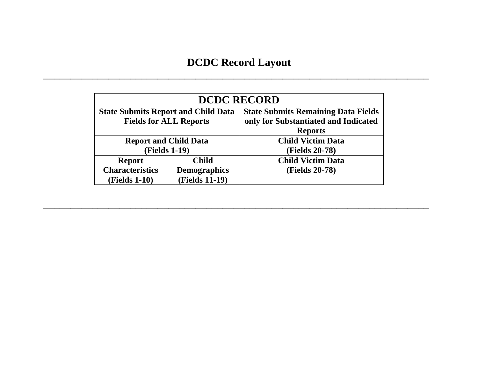# **DCDC Record Layout**

\_\_\_\_\_\_\_\_\_\_\_\_\_\_\_\_\_\_\_\_\_\_\_\_\_\_\_\_\_\_\_\_\_\_\_\_\_\_\_\_\_\_\_\_\_\_\_\_\_\_\_\_\_\_\_\_\_\_\_\_\_\_\_\_\_\_\_\_\_\_\_

| <b>DCDC RECORD</b>                                    |                               |                                                                                                      |  |  |  |  |
|-------------------------------------------------------|-------------------------------|------------------------------------------------------------------------------------------------------|--|--|--|--|
| <b>State Submits Report and Child Data</b>            | <b>Fields for ALL Reports</b> | <b>State Submits Remaining Data Fields</b><br>only for Substantiated and Indicated<br><b>Reports</b> |  |  |  |  |
| <b>Report and Child Data</b>                          |                               | <b>Child Victim Data</b><br><b>(Fields 20-78)</b>                                                    |  |  |  |  |
| <b>(Fields 1-19)</b><br><b>Child</b><br><b>Report</b> |                               | <b>Child Victim Data</b>                                                                             |  |  |  |  |
| <b>Characteristics</b>                                | <b>Demographics</b>           | <b>(Fields 20-78)</b>                                                                                |  |  |  |  |
| <b>(Fields 1-10)</b>                                  | <b>(Fields 11-19)</b>         |                                                                                                      |  |  |  |  |

\_\_\_\_\_\_\_\_\_\_\_\_\_\_\_\_\_\_\_\_\_\_\_\_\_\_\_\_\_\_\_\_\_\_\_\_\_\_\_\_\_\_\_\_\_\_\_\_\_\_\_\_\_\_\_\_\_\_\_\_\_\_\_\_\_\_\_\_\_\_\_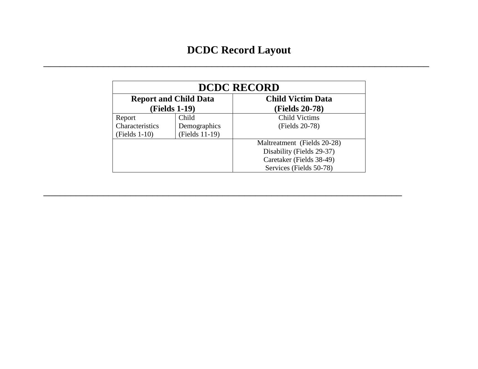$\qquad \qquad -$  . The contribution of the contribution of the contribution of the contribution of the contribution of the contribution of the contribution of the contribution of the contribution of the contribution of the contr

| <b>DCDC RECORD</b>              |                              |                             |  |  |  |  |
|---------------------------------|------------------------------|-----------------------------|--|--|--|--|
|                                 | <b>Report and Child Data</b> | <b>Child Victim Data</b>    |  |  |  |  |
|                                 | <b>(Fields 1-19)</b>         | <b>(Fields 20-78)</b>       |  |  |  |  |
| Child<br>Report                 |                              | <b>Child Victims</b>        |  |  |  |  |
| Characteristics<br>Demographics |                              | (Fields 20-78)              |  |  |  |  |
| (Fields 11-19)<br>(Fields 1-10) |                              |                             |  |  |  |  |
|                                 |                              | Maltreatment (Fields 20-28) |  |  |  |  |
|                                 |                              | Disability (Fields 29-37)   |  |  |  |  |
|                                 |                              | Caretaker (Fields 38-49)    |  |  |  |  |
|                                 |                              | Services (Fields 50-78)     |  |  |  |  |

\_\_\_\_\_\_\_\_\_\_\_\_\_\_\_\_\_\_\_\_\_\_\_\_\_\_\_\_\_\_\_\_\_\_\_\_\_\_\_\_\_\_\_\_\_\_\_\_\_\_\_\_\_\_\_\_\_\_\_\_\_\_\_\_\_\_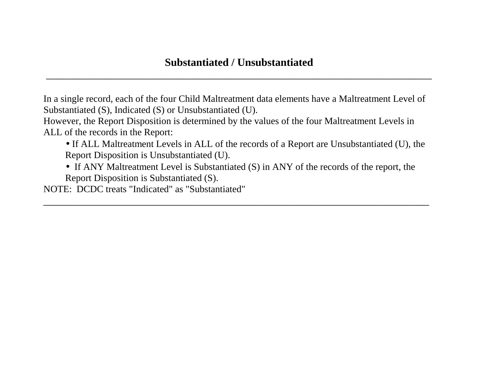\_\_\_\_\_\_\_\_\_\_\_\_\_\_\_\_\_\_\_\_\_\_\_\_\_\_\_\_\_\_\_\_\_\_\_\_\_\_\_\_\_\_\_\_\_\_\_\_\_\_\_\_\_\_\_\_\_\_\_\_\_\_\_\_\_\_\_\_\_\_\_

In a single record, each of the four Child Maltreatment data elements have a Maltreatment Level of Substantiated (S), Indicated (S) or Unsubstantiated (U).

However, the Report Disposition is determined by the values of the four Maltreatment Levels in ALL of the records in the Report:

- If ALL Maltreatment Levels in ALL of the records of a Report are Unsubstantiated (U), the Report Disposition is Unsubstantiated (U).
- If ANY Maltreatment Level is Substantiated (S) in ANY of the records of the report, the Report Disposition is Substantiated (S).

 $\qquad \qquad -$  . The contribution of the contribution of the contribution of the contribution of the contribution of the contribution of the contribution of the contribution of the contribution of the contribution of the contr

NOTE: DCDC treats "Indicated" as "Substantiated"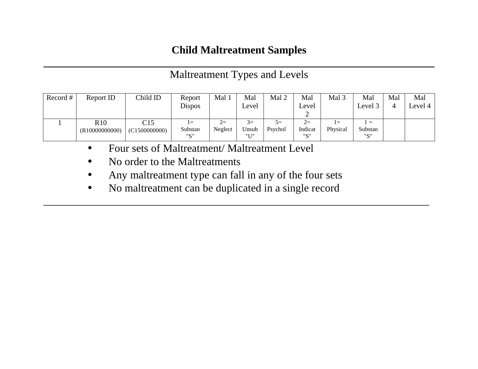# **Child Maltreatment Samples**

### **\_\_\_\_\_\_\_\_\_\_\_\_\_\_\_\_\_\_\_\_\_\_\_\_\_\_\_\_\_\_\_\_\_\_\_\_\_\_\_\_\_\_\_\_\_\_\_\_\_\_\_\_\_\_\_\_\_\_\_\_\_\_\_\_\_\_\_\_\_\_\_\_**  Maltreatment Types and Levels

| Record # | Report ID      | Child ID      | Report  | Mal     | Mal    | Mal 2     | Mal     | Mal <sub>3</sub> | Mal                            | Mal | Mal     |
|----------|----------------|---------------|---------|---------|--------|-----------|---------|------------------|--------------------------------|-----|---------|
|          |                |               | Dispos  |         | Level  |           | Level   |                  | Level 3                        |     | Level 4 |
|          |                |               |         |         |        |           |         |                  |                                |     |         |
|          | R10            | C15           | $l =$   | $2=$    | $\leq$ | $\supset$ | $2=$    | l =              | $\mathbf{r} \equiv \mathbf{r}$ |     |         |
|          | (R10000000000) | (C1500000000) | Substan | Neglect | Unsub  | Psychol   | Indicat | Physical         | Substan                        |     |         |
|          |                |               | "C"     |         | "II"   |           | "S"     |                  | "" "                           |     |         |

\_\_\_\_\_\_\_\_\_\_\_\_\_\_\_\_\_\_\_\_\_\_\_\_\_\_\_\_\_\_\_\_\_\_\_\_\_\_\_\_\_\_\_\_\_\_\_\_\_\_\_\_\_\_\_\_\_\_\_\_\_\_\_\_\_\_\_\_\_\_\_

- Four sets of Maltreatment/ Maltreatment Level
- No order to the Maltreatments
- Any maltreatment type can fall in any of the four sets
- No maltreatment can be duplicated in a single record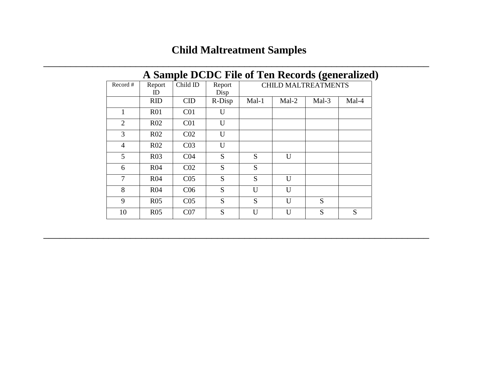# **Child Maltreatment Samples**

 $\qquad \qquad -$  . The contribution of the contribution of the contribution of the contribution of the contribution of the contribution of the contribution of the contribution of the contribution of the contribution of the contr

| A Sample DCDC File of Ten Records (generalized) |                 |                 |                |                            |       |       |       |  |  |
|-------------------------------------------------|-----------------|-----------------|----------------|----------------------------|-------|-------|-------|--|--|
| Record $#$                                      | Report<br>ID.   | Child ID        | Report<br>Disp | <b>CHILD MALTREATMENTS</b> |       |       |       |  |  |
|                                                 | <b>RID</b>      | CID             | R-Disp         | Mal-1                      | Mal-2 | Mal-3 | Mal-4 |  |  |
| 1                                               | R <sub>01</sub> | C <sub>01</sub> | U              |                            |       |       |       |  |  |
| 2                                               | R <sub>02</sub> | C <sub>01</sub> | U              |                            |       |       |       |  |  |
| 3                                               | R02             | CO <sub>2</sub> | U              |                            |       |       |       |  |  |
| 4                                               | R <sub>02</sub> | CO <sub>3</sub> | U              |                            |       |       |       |  |  |
| 5                                               | R <sub>03</sub> | CO <sub>4</sub> | S              | S                          | U     |       |       |  |  |
| 6                                               | R <sub>04</sub> | CO <sub>2</sub> | S              | S                          |       |       |       |  |  |
| $\overline{7}$                                  | R <sub>04</sub> | CO <sub>5</sub> | S              | S                          | U     |       |       |  |  |
| 8                                               | R <sub>04</sub> | C <sub>06</sub> | S              | U                          | U     |       |       |  |  |
| 9                                               | R <sub>05</sub> | CO <sub>5</sub> | S              | S                          | U     | S     |       |  |  |
| 10                                              | R <sub>05</sub> | CO <sub>7</sub> | S              | U                          | U     | S     | S     |  |  |

 $\qquad \qquad -$  . The contribution of the contribution of the contribution of the contribution of the contribution of the contribution of the contribution of the contribution of the contribution of the contribution of the contr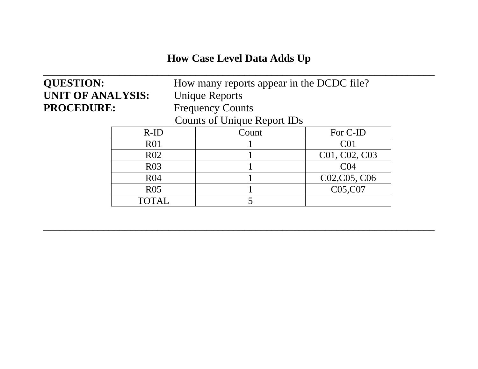### **How Case Level Data Adds Up**

**\_\_\_\_\_\_\_\_\_\_\_\_\_\_\_\_\_\_\_\_\_\_\_\_\_\_\_\_\_\_\_\_\_\_\_\_\_\_\_\_\_\_\_\_\_\_\_\_\_\_\_\_\_\_\_\_\_\_\_\_\_\_\_\_\_\_\_\_\_\_\_\_** 

# **UNIT OF ANALYSIS:** Unique Reports PROCEDURE: Frequency Counts

**QUESTION:** How many reports appear in the DCDC file?

Counts of Unique Report IDs

| $R$ -ID          | Count | For C-ID                                            |
|------------------|-------|-----------------------------------------------------|
| R <sub>0</sub> 1 |       | C01                                                 |
| R <sub>02</sub>  |       | C01, C02, C03                                       |
| R <sub>03</sub>  |       | C04                                                 |
| R <sub>04</sub>  |       | C <sub>02</sub> , C <sub>05</sub> , C <sub>06</sub> |
| R <sub>05</sub>  |       | C05,C07                                             |
| TOTAL            |       |                                                     |

**\_\_\_\_\_\_\_\_\_\_\_\_\_\_\_\_\_\_\_\_\_\_\_\_\_\_\_\_\_\_\_\_\_\_\_\_\_\_\_\_\_\_\_\_\_\_\_\_\_\_\_\_\_\_\_\_\_\_\_\_\_\_\_\_\_\_\_\_\_\_\_\_**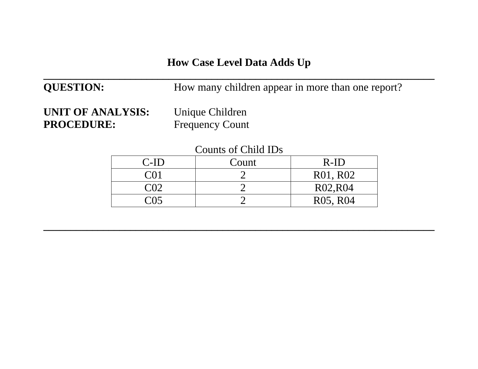### **How Case Level Data Adds Up**

**\_\_\_\_\_\_\_\_\_\_\_\_\_\_\_\_\_\_\_\_\_\_\_\_\_\_\_\_\_\_\_\_\_\_\_\_\_\_\_\_\_\_\_\_\_\_\_\_\_\_\_\_\_\_\_\_\_\_\_\_\_\_\_\_\_\_\_\_\_\_\_\_** 

## **QUESTION:** How many children appear in more than one report?

**UNIT OF ANALYSIS:** Unique Children PROCEDURE: Frequency Count

| Counts of Child IDs |  |  |
|---------------------|--|--|
|                     |  |  |

| C-ID | Count | $R-ID$                            |
|------|-------|-----------------------------------|
| CO 1 |       | R01, R02                          |
| C02  |       | R02, R04                          |
| (115 |       | R <sub>05</sub> , R <sub>04</sub> |

**\_\_\_\_\_\_\_\_\_\_\_\_\_\_\_\_\_\_\_\_\_\_\_\_\_\_\_\_\_\_\_\_\_\_\_\_\_\_\_\_\_\_\_\_\_\_\_\_\_\_\_\_\_\_\_\_\_\_\_\_\_\_\_\_\_\_\_\_\_\_\_\_**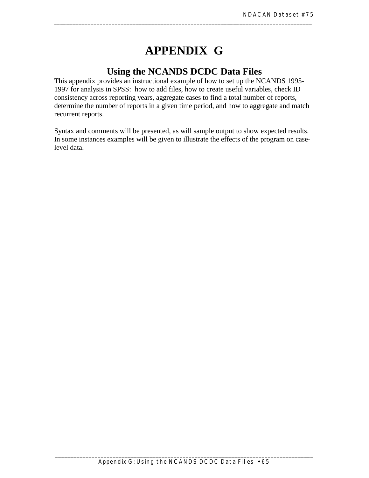### **APPENDIX G**

\_\_\_\_\_\_\_\_\_\_\_\_\_\_\_\_\_\_\_\_\_\_\_\_\_\_\_\_\_\_\_\_\_\_\_\_\_\_\_\_\_\_\_\_\_\_\_\_\_\_\_\_\_\_\_\_\_\_\_\_\_\_\_\_\_\_\_\_\_\_\_\_\_\_\_\_\_\_\_\_\_\_\_\_\_

### **Using the NCANDS DCDC Data Files**

This appendix provides an instructional example of how to set up the NCANDS 1995- 1997 for analysis in SPSS: how to add files, how to create useful variables, check ID consistency across reporting years, aggregate cases to find a total number of reports, determine the number of reports in a given time period, and how to aggregate and match recurrent reports.

Syntax and comments will be presented, as will sample output to show expected results. In some instances examples will be given to illustrate the effects of the program on caselevel data.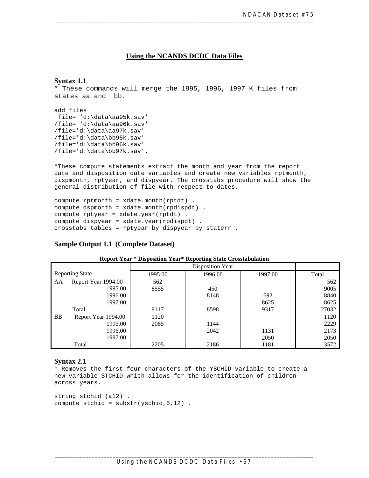#### **Using the NCANDS DCDC Data Files**

#### **Syntax 1.1**

\* These commands will merge the 1995, 1996, 1997 K files from states aa and bb.

add files file= 'd:\data\aa95k.sav' /file= 'd:\data\aa96k.sav' /file='d:\data\aa97k.sav' /file='d:\data\bb95k.sav' /file='d:\data\bb96k.sav' /file='d:\data\bb97k.sav'.

\*These compute statements extract the month and year from the report date and disposition date variables and create new variables rptmonth, dispmonth, rptyear, and dispyear. The crosstabs procedure will show the general distribution of file with respect to dates.

```
compute rptmonth = xdate.month(rptdt) . 
compute dspmonth = xdate.month(rpdispdt) . 
compute rptyear = xdate.year(rptdt) . 
compute dispyear = xdate.year(rpdispdt) . 
crosstabs tables = rptyear by dispyear by staterr .
```
#### **Sample Output 1.1 (Complete Dataset)**

|           | <b>Reporting State</b> | 1995.00 | Disposition Year<br>1996.00 | 1997.00 | Total |
|-----------|------------------------|---------|-----------------------------|---------|-------|
|           |                        |         |                             |         |       |
| AA        | Report Year 1994.00    | 562     |                             |         | 562   |
|           | 1995.00                | 8555    | 450                         |         | 9005  |
|           | 1996.00                |         | 8148                        | 692     | 8840  |
|           | 1997.00                |         |                             | 8625    | 8625  |
|           | Total                  | 9117    | 8598                        | 9317    | 27032 |
| <b>BB</b> | Report Year 1994.00    | 1120    |                             |         | 1120  |
|           | 1995.00                | 2085    | 1144                        |         | 2229  |
|           | 1996.00                |         | 2042                        | 1131    | 2173  |
|           | 1997.00                |         |                             | 2050    | 2050  |
|           | Total                  | 2205    | 2186                        | 1181    | 3572  |

#### **Report Year \* Disposition Year\* Reporting State Crosstabulation**

#### **Syntax 2.1**

\* Removes the first four characters of the YSCHID variable to create a new variable STCHID which allows for the identification of children across years.

```
string stchid (a12) . 
compute stchid = substr(yschid,5,12) .
```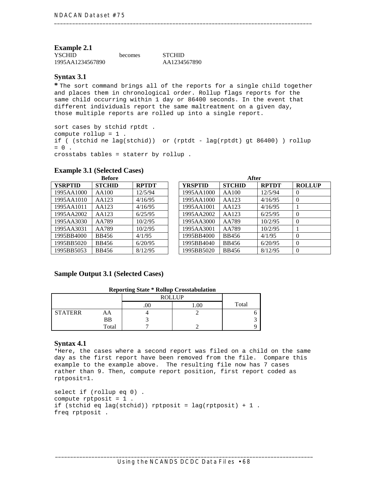#### **Example 2.1**

| <b>YSCHID</b>    | <b>becomes</b> | <b>STCHID</b> |
|------------------|----------------|---------------|
| 1995AA1234567890 |                | AA1234567890  |

#### **Syntax 3.1**

**\*** The sort command brings all of the reports for a single child together and places them in chronological order. Rollup flags reports for the same child occurring within 1 day or 86400 seconds. In the event that different individuals report the same maltreatment on a given day, those multiple reports are rolled up into a single report.

sort cases by stchid rptdt . compute rollup = 1 . if ( (stchid ne lag(stchid)) or (rptdt - lag(rptdt) gt 86400) ) rollup  $= 0$ . crosstabs tables = staterr by rollup .

| <b>Before</b>  |               |              |  |                | After         |              |                |
|----------------|---------------|--------------|--|----------------|---------------|--------------|----------------|
| <b>YSRPTID</b> | <b>STCHID</b> | <b>RPTDT</b> |  | <b>YRSPTID</b> | <b>STCHID</b> | <b>RPTDT</b> | <b>ROLLUP</b>  |
| 1995AA1000     | AA100         | 12/5/94      |  | 1995AA1000     | AA100         | 12/5/94      | $\overline{0}$ |
| 1995AA1010     | AA123         | 4/16/95      |  | 1995AA1000     | AA123         | 4/16/95      | $\overline{0}$ |
| 1995AA1011     | AA123         | 4/16/95      |  | 1995AA1001     | AA123         | 4/16/95      |                |
| 1995AA2002     | AA123         | 6/25/95      |  | 1995AA2002     | AA123         | 6/25/95      | $\theta$       |
| 1995AA3030     | AA789         | 10/2/95      |  | 1995AA3000     | AA789         | 10/2/95      | $\overline{0}$ |
| 1995AA3031     | AA789         | 10/2/95      |  | 1995AA3001     | AA789         | 10/2/95      |                |
| 1995BB4000     | <b>BB456</b>  | 4/1/95       |  | 1995BB4000     | <b>BB456</b>  | 4/1/95       | $\theta$       |
| 1995BB5020     | <b>BB456</b>  | 6/20/95      |  | 1995BB4040     | <b>BB456</b>  | 6/20/95      | $\overline{0}$ |
| 1995BB5053     | <b>BB456</b>  | 8/12/95      |  | 1995BB5020     | <b>BB456</b>  | 8/12/95      | $\theta$       |

#### **Example 3.1 (Selected Cases)**

#### **Sample Output 3.1 (Selected Cases)**

#### **Reporting State \* Rollup Crosstabulation**

|                |       |     | <b>ROLLUP</b> |       |  |
|----------------|-------|-----|---------------|-------|--|
|                |       | .UU | 00.1          | Total |  |
| <b>STATERR</b> | AA    |     |               |       |  |
|                | BB    |     |               |       |  |
|                | Total |     |               |       |  |

#### **Syntax 4.1**

\*Here, the cases where a second report was filed on a child on the same day as the first report have been removed from the file. Compare this example to the example above. The resulting file now has 7 cases rather than 9. Then, compute report position, first report coded as rptposit=1.

```
select if (rollup eq 0) . 
compute rptposit = 1 . 
if (stchid eq lag(stchid)) rptposit = lag(rptposit) + 1.
freq rptposit .
```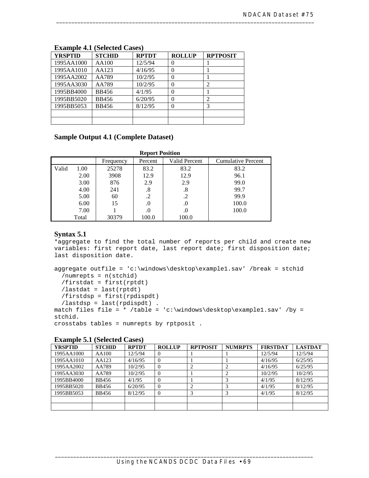| <b>YRSPTID</b> | <b>STCHID</b> | <b>RPTDT</b> | <b>ROLLUP</b>     | <b>RPTPOSIT</b> |
|----------------|---------------|--------------|-------------------|-----------------|
| 1995AA1000     | AA100         | 12/5/94      | $\mathbf{\Omega}$ |                 |
| 1995AA1010     | AA123         | 4/16/95      |                   |                 |
| 1995AA2002     | AA789         | 10/2/95      | 0                 |                 |
| 1995AA3030     | AA789         | 10/2/95      | 0                 |                 |
| 1995BB4000     | <b>BB456</b>  | 4/1/95       | 0                 |                 |
| 1995BB5020     | <b>BB456</b>  | 6/20/95      | 0                 |                 |
| 1995BB5053     | <b>BB456</b>  | 8/12/95      | 0                 |                 |
|                |               |              |                   |                 |
|                |               |              |                   |                 |

#### **Example 4.1 (Selected Cases)**

#### **Sample Output 4.1 (Complete Dataset)**

|       | <b>Report Position</b> |           |         |                      |                           |  |  |  |  |  |
|-------|------------------------|-----------|---------|----------------------|---------------------------|--|--|--|--|--|
|       |                        | Frequency | Percent | <b>Valid Percent</b> | <b>Cumulative Percent</b> |  |  |  |  |  |
| Valid | 1.00                   | 25278     | 83.2    | 83.2                 | 83.2                      |  |  |  |  |  |
|       | 2.00                   | 3908      | 12.9    | 12.9                 | 96.1                      |  |  |  |  |  |
|       | 3.00                   | 876       | 2.9     | 2.9                  | 99.0                      |  |  |  |  |  |
|       | 4.00                   | 241       | .8      | .8                   | 99.7                      |  |  |  |  |  |
|       | 5.00                   | 60        |         | .2                   | 99.9                      |  |  |  |  |  |
|       | 6.00                   | 15        | .0      | .0                   | 100.0                     |  |  |  |  |  |
|       | 7.00                   |           | .0      | .0                   | 100.0                     |  |  |  |  |  |
|       | Total                  | 30379     | 100.0   | 100.0                |                           |  |  |  |  |  |

#### **Syntax 5.1**

\*aggregate to find the total number of reports per child and create new variables: first report date, last report date; first disposition date; last disposition date.

```
aggregate outfile = 'c:\windows\desktop\example1.sav' /break = stchid 
 /numrepts = n(stchid) 
 /firstdat = first(rptdt) 
 /lastdat = last(rptdt) 
 /firstdsp = first(rpdispdt) 
  /lastdsp = last(rpdispdt) . 
match files file = * /table = 'c:\windows\desktop\example1.sav' /by =
stchid. 
crosstabs tables = numrepts by rptposit .
```

| <b>Example U.1</b> (Delected Cabel) |               |              |               |                 |                |                 |                |  |
|-------------------------------------|---------------|--------------|---------------|-----------------|----------------|-----------------|----------------|--|
| <b>YRSPTID</b>                      | <b>STCHID</b> | <b>RPTDT</b> | <b>ROLLUP</b> | <b>RPTPOSIT</b> | <b>NUMRPTS</b> | <b>FIRSTDAT</b> | <b>LASTDAT</b> |  |
| 1995AA1000                          | AA100         | 12/5/94      |               |                 |                | 12/5/94         | 12/5/94        |  |
| 1995AA1010                          | AA123         | 4/16/95      |               |                 |                | 4/16/95         | 6/25/95        |  |
| 1995AA2002                          | AA789         | 10/2/95      | $\Omega$      |                 |                | 4/16/95         | 6/25/95        |  |
| 1995AA3030                          | AA789         | 10/2/95      | $\Omega$      |                 |                | 10/2/95         | 10/2/95        |  |
| 1995BB4000                          | BB456         | 4/1/95       | $\Omega$      |                 |                | 4/1/95          | 8/12/95        |  |
| 1995BB5020                          | <b>BB456</b>  | 6/20/95      | $\Omega$      |                 |                | 4/1/95          | 8/12/95        |  |
| 1995BB5053                          | <b>BB456</b>  | 8/12/95      | $\Omega$      |                 |                | 4/1/95          | 8/12/95        |  |
|                                     |               |              |               |                 |                |                 |                |  |
|                                     |               |              |               |                 |                |                 |                |  |

#### **Example 5.1 (Selected Cases)**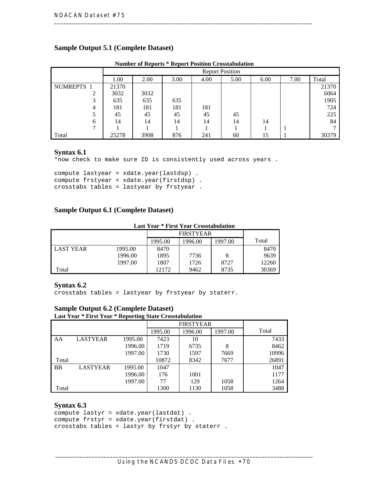#### **Sample Output 5.1 (Complete Dataset)**

| $\ldots$<br>1.0001010101<br><u>oi voormommendin</u> |       |                        |      |      |      |      |      |       |  |
|-----------------------------------------------------|-------|------------------------|------|------|------|------|------|-------|--|
|                                                     |       | <b>Report Position</b> |      |      |      |      |      |       |  |
|                                                     | 1.00  | 2.00                   | 3.00 | 4.00 | 5.00 | 6.00 | 7.00 | Total |  |
| NUMREPTS 1                                          | 21370 |                        |      |      |      |      |      | 21370 |  |
|                                                     | 3032  | 3032                   |      |      |      |      |      | 6064  |  |
|                                                     | 635   | 635                    | 635  |      |      |      |      | 1905  |  |
|                                                     | 181   | 181                    | 181  | 181  |      |      |      | 724   |  |
|                                                     | 45    | 45                     | 45   | 45   | 45   |      |      | 225   |  |
| 6                                                   | 14    | 14                     | 14   | 14   | 14   | 14   |      | 84    |  |
|                                                     |       |                        |      |      |      |      |      |       |  |
| Total                                               | 25278 | 3908                   | 876  | 241  | 60   | 15   |      | 30379 |  |

#### **Number of Reports \* Report Position Crosstabulation**

#### **Syntax 6.1**

\*now check to make sure ID is consistently used across years .

compute lastyear = xdate.year(lastdsp) . compute frstyear = xdate.year(firstdsp) . crosstabs tables = lastyear by frstyear .

#### **Sample Output 6.1 (Complete Dataset)**

#### **Last Year \* First Year Crosstabulation**

|                  |         |         | <b>FIRSTYEAR</b> |         |       |  |  |
|------------------|---------|---------|------------------|---------|-------|--|--|
|                  |         | 1995.00 | 1996.00          | 1997.00 | Total |  |  |
| <b>LAST YEAR</b> | 1995.00 | 8470    |                  |         | 8470  |  |  |
|                  | 1996.00 | 1895    | 7736             | 8       | 9639  |  |  |
|                  | 1997.00 | 1807    | 1726             | 8727    | 12260 |  |  |
| Total            |         | 12172   | 9462             | 8735    | 30369 |  |  |

#### **Syntax 6.2**

crosstabs tables = lastyear by frstyear by staterr.

#### **Sample Output 6.2 (Complete Dataset)**

#### **Last Year \* First Year \* Reporting State Crosstabulation**

|           |                 |         | <b>FIRSTYEAR</b> |         |         |       |
|-----------|-----------------|---------|------------------|---------|---------|-------|
|           |                 |         | 1995.00          | 1996.00 | 1997.00 | Total |
| AA        | <b>LASTYEAR</b> | 1995.00 | 7423             | 10      |         | 7433  |
|           |                 | 1996.00 | 1719             | 6735    | 8       | 8462  |
|           |                 | 1997.00 | 1730             | 1597    | 7669    | 10996 |
| Total     |                 |         | 10872            | 8342    | 7677    | 26891 |
| <b>BB</b> | <b>LASTYEAR</b> | 1995.00 | 1047             |         |         | 1047  |
|           |                 | 1996.00 | 176              | 1001    |         | 1177  |
|           |                 | 1997.00 | 77               | 129     | 1058    | 1264  |
| Total     |                 |         | 1300             | 1130    | 1058    | 3488  |

#### **Syntax 6.3**

```
compute lastyr = xdate.year(lastdat) . 
compute frstyr = xdate.year(firstdat) . 
crosstabs tables = lastyr by frstyr by staterr .
```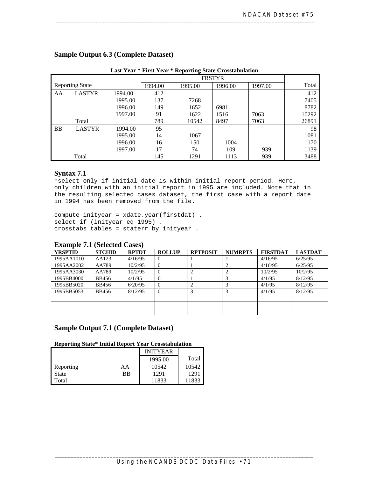|                        |               | паэс теат | тиэг теат | Reporting blatt Crosstabulation |         |       |       |
|------------------------|---------------|-----------|-----------|---------------------------------|---------|-------|-------|
|                        |               |           |           |                                 |         |       |       |
| <b>Reporting State</b> |               | 1994.00   | 1995.00   | 1996.00                         | 1997.00 | Total |       |
| AA                     | <b>LASTYR</b> | 1994.00   | 412       |                                 |         |       | 412   |
|                        |               | 1995.00   | 137       | 7268                            |         |       | 7405  |
|                        |               | 1996.00   | 149       | 1652                            | 6981    |       | 8782  |
|                        |               | 1997.00   | 91        | 1622                            | 1516    | 7063  | 10292 |
|                        | Total         |           | 789       | 10542                           | 8497    | 7063  | 26891 |
| <b>BB</b>              | <b>LASTYR</b> | 1994.00   | 95        |                                 |         |       | 98    |
|                        |               | 1995.00   | 14        | 1067                            |         |       | 1081  |
|                        |               | 1996.00   | 16        | 150                             | 1004    |       | 1170  |
|                        |               | 1997.00   | 17        | 74                              | 109     | 939   | 1139  |
|                        | Total         |           | 145       | 1291                            | 1113    | 939   | 3488  |

#### **Sample Output 6.3 (Complete Dataset)**

**Last Year \* First Year \* Reporting State Crosstabulation** 

#### **Syntax 7.1**

\*select only if initial date is within initial report period. Here, only children with an initial report in 1995 are included. Note that in the resulting selected cases dataset, the first case with a report date in 1994 has been removed from the file.

compute inityear = xdate.year(firstdat) . select if (inityear eq 1995) . crosstabs tables = staterr by inityear .

| <b>Example 7.1 (Selected Cases)</b> |               |              |               |                 |                |                 |                |
|-------------------------------------|---------------|--------------|---------------|-----------------|----------------|-----------------|----------------|
| <b>YRSPTID</b>                      | <b>STCHID</b> | <b>RPTDT</b> | <b>ROLLUP</b> | <b>RPTPOSIT</b> | <b>NUMRPTS</b> | <b>FIRSTDAT</b> | <b>LASTDAT</b> |
| 1995AA1010                          | AA123         | 4/16/95      |               |                 |                | 4/16/95         | 6/25/95        |
| 1995AA2002                          | AA789         | 10/2/95      | $\theta$      |                 |                | 4/16/95         | 6/25/95        |
| 1995AA3030                          | AA789         | 10/2/95      | 0             |                 |                | 10/2/95         | 10/2/95        |
| 1995BB4000                          | <b>BB456</b>  | 4/1/95       | $\Omega$      |                 |                | 4/1/95          | 8/12/95        |
| 1995BB5020                          | <b>BB456</b>  | 6/20/95      | 0             |                 |                | 4/1/95          | 8/12/95        |
| 1995BB5053                          | <b>BB456</b>  | 8/12/95      | $\Omega$      |                 |                | 4/1/95          | 8/12/95        |
|                                     |               |              |               |                 |                |                 |                |
|                                     |               |              |               |                 |                |                 |                |
|                                     |               |              |               |                 |                |                 |                |

#### **Example 7.1 (Selected Cases)**

#### **Sample Output 7.1 (Complete Dataset)**

#### **Reporting State\* Initial Report Year Crosstabulation**

|              |    | <b>INITYEAR</b> |       |
|--------------|----|-----------------|-------|
|              |    | 1995.00         | Total |
| Reporting    | AA | 10542           | 10542 |
| <b>State</b> | BB | 1291            | 1291  |
| Total        |    | 11833           | 11833 |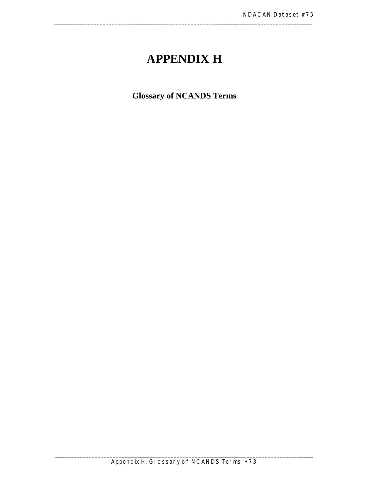### **APPENDIX H**

\_\_\_\_\_\_\_\_\_\_\_\_\_\_\_\_\_\_\_\_\_\_\_\_\_\_\_\_\_\_\_\_\_\_\_\_\_\_\_\_\_\_\_\_\_\_\_\_\_\_\_\_\_\_\_\_\_\_\_\_\_\_\_\_\_\_\_\_\_\_\_\_\_\_\_\_\_\_\_\_\_\_\_\_\_

**Glossary of NCANDS Terms**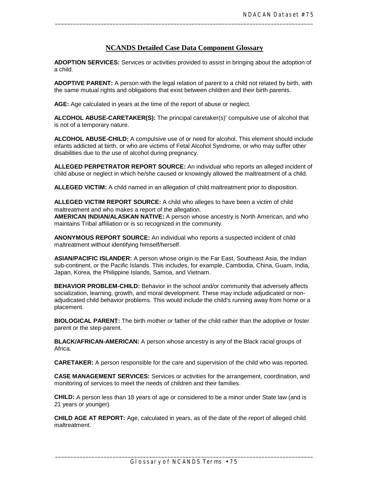#### **NCANDS Detailed Case Data Component Glossary**

\_\_\_\_\_\_\_\_\_\_\_\_\_\_\_\_\_\_\_\_\_\_\_\_\_\_\_\_\_\_\_\_\_\_\_\_\_\_\_\_\_\_\_\_\_\_\_\_\_\_\_\_\_\_\_\_\_\_\_\_\_\_\_\_\_\_\_\_\_\_\_\_\_\_\_\_\_\_\_\_\_\_\_\_\_

**ADOPTION SERVICES:** Services or activities provided to assist in bringing about the adoption of a child.

**ADOPTIVE PARENT:** A person with the legal relation of parent to a child not related by birth, with the same mutual rights and obligations that exist between children and their birth parents.

**AGE:** Age calculated in years at the time of the report of abuse or neglect.

**ALCOHOL ABUSE-CARETAKER(S):** The principal caretaker(s)' compulsive use of alcohol that is not of a temporary nature.

 disabilities due to the use of alcohol during pregnancy. **ALCOHOL ABUSE-CHILD:** A compulsive use of or need for alcohol. This element should include infants addicted at birth, or who are victims of Fetal Alcohol Syndrome, or who may suffer other

**ALLEGED PERPETRATOR REPORT SOURCE:** An individual who reports an alleged incident of child abuse or neglect in which he/she caused or knowingly allowed the maltreatment of a child.

**ALLEGED VICTIM:** A child named in an allegation of child maltreatment prior to disposition.

**ALLEGED VICTIM REPORT SOURCE:** A child who alleges to have been a victim of child maltreatment and who makes a report of the allegation.

**AMERICAN INDIAN/ALASKAN NATIVE:** A person whose ancestry is North American, and who maintains Tribal affiliation or is so recognized in the community.

**ANONYMOUS REPORT SOURCE:** An individual who reports a suspected incident of child maltreatment without identifying himself/herself.

**ASIAN/PACIFIC ISLANDER:** A person whose origin is the Far East, Southeast Asia, the Indian sub-continent, or the Pacific Islands. This includes, for example, Cambodia, China, Guam, India, Japan, Korea, the Philippine Islands, Samoa, and Vietnam.

**BEHAVIOR PROBLEM-CHILD:** Behavior in the school and/or community that adversely affects socialization, learning, growth, and moral development. These may include adjudicated or nonadjudicated child behavior problems. This would include the child's running away from home or a placement.

**BIOLOGICAL PARENT:** The birth mother or father of the child rather than the adoptive or foster parent or the step-parent.

**BLACK/AFRICAN-AMERICAN:** A person whose ancestry is any of the Black racial groups of Africa.

**CARETAKER:** A person responsible for the care and supervision of the child who was reported.

 monitoring of services to meet the needs of children and their families. **CASE MANAGEMENT SERVICES:** Services or activities for the arrangement, coordination, and

**CHILD:** A person less than 18 years of age or considered to be a minor under State law (and is 21 years or younger).

**CHILD AGE AT REPORT:** Age, calculated in years, as of the date of the report of alleged child maltreatment.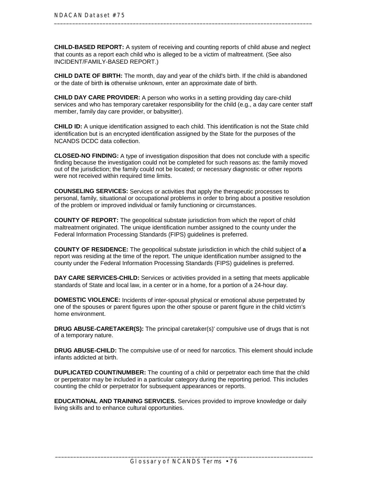INCIDENT/FAMILY-BASED REPORT.) **CHILD-BASED REPORT:** A system of receiving and counting reports of child abuse and neglect that counts as a report each child who is alleged to be a victim of maltreatment. (See also

**CHILD DATE OF BIRTH:** The month, day and year of the child's birth. If the child is abandoned or the date of birth **is** otherwise unknown, enter an approximate date of birth.

 member, family day care provider, or babysitter). **CHILD DAY CARE PROVIDER:** A person who works in a setting providing day care-child services and who has temporary caretaker responsibility for the child (e.g., a day care center staff

**CHILD ID:** A unique identification assigned to each child. This identification is not the State child identification but is an encrypted identification assigned by the State for the purposes of the NCANDS DCDC data collection.

 were not received within required time limits. **CLOSED-NO FINDING:** A type of investigation disposition that does not conclude with a specific finding because the investigation could not be completed for such reasons as: the family moved out of the jurisdiction; the family could not be located; or necessary diagnostic or other reports

**COUNSELING SERVICES:** Services or activities that apply the therapeutic processes to personal, family, situational or occupational problems in order to bring about a positive resolution of the problem or improved individual or family functioning or circumstances.

**COUNTY OF REPORT:** The geopolitical substate jurisdiction from which the report of child maltreatment originated. The unique identification number assigned to the county under the Federal Information Processing Standards (FIPS) guidelines is preferred.

**COUNTY OF RESIDENCE:** The geopolitical substate jurisdiction in which the child subject of **a**  report was residing at the time of the report. The unique identification number assigned to the county under the Federal Information Processing Standards (FIPS) guidelines is preferred.

**DAY CARE SERVICES-CHILD:** Services or activities provided in a setting that meets applicable standards of State and local law, in a center or in a home, for a portion of a 24-hour day.

**DOMESTIC VIOLENCE:** Incidents of inter-spousal physical or emotional abuse perpetrated by one of the spouses or parent figures upon the other spouse or parent figure in the child victim's home environment.

**DRUG ABUSE-CARETAKER(S):** The principal caretaker(s)' compulsive use of drugs that is not of a temporary nature.

**DRUG ABUSE-CHILD:** The compulsive use of or need for narcotics. This element should include infants addicted at birth.

**DUPLICATED COUNT/NUMBER:** The counting of a child or perpetrator each time that the child or perpetrator may be included in a particular category during the reporting period. This includes counting the child or perpetrator for subsequent appearances or reports.

**EDUCATIONAL AND TRAINING SERVICES.** Services provided to improve knowledge or daily living skills and to enhance cultural opportunities.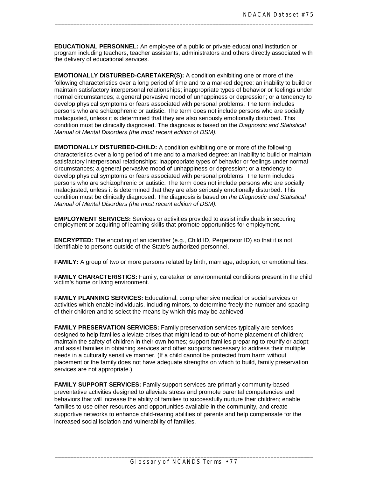**EDUCATIONAL PERSONNEL:** An employee of a public or private educational institution or program including teachers, teacher assistants, administrators and others directly associated with the delivery of educational services.

\_\_\_\_\_\_\_\_\_\_\_\_\_\_\_\_\_\_\_\_\_\_\_\_\_\_\_\_\_\_\_\_\_\_\_\_\_\_\_\_\_\_\_\_\_\_\_\_\_\_\_\_\_\_\_\_\_\_\_\_\_\_\_\_\_\_\_\_\_\_\_\_\_\_\_\_\_\_\_\_\_\_\_\_\_

**EMOTIONALLY DISTURBED-CARETAKER(S):** A condition exhibiting one or more of the following characteristics over a long period of time and to a marked degree: an inability to build or maintain satisfactory interpersonal relationships; inappropriate types of behavior or feelings under normal circumstances; a general pervasive mood of unhappiness or depression; or a tendency to develop physical symptoms or fears associated with personal problems. The term includes persons who are schizophrenic or autistic. The term does not include persons who are socially maladjusted, unless it is determined that they are also seriously emotionally disturbed. This condition must be clinically diagnosed. The diagnosis is based on the *Diagnostic and Statistical Manual of Mental Disorders (the most recent edition of DSM).* 

**EMOTIONALLY DISTURBED-CHILD:** A condition exhibiting one or more of the following characteristics over a long period of time and to a marked degree: an inability to build or maintain satisfactory interpersonal relationships; inappropriate types of behavior or feelings under normal circumstances; a general pervasive mood of unhappiness or depression; or a tendency to develop physical symptoms or fears associated with personal problems. The term includes persons who are schizophrenic or autistic. The term does not include persons who are socially maladjusted, unless it is determined that they are also seriously emotionally disturbed. This condition must be clinically diagnosed. The diagnosis is based on *the Diagnostic and Statistical Manual of Mental Disorders (the most recent edition of DSM).* 

**EMPLOYMENT SERVICES:** Services or activities provided to assist individuals in securing employment or acquiring of learning skills that promote opportunities for employment.

**ENCRYPTED:** The encoding of an identifier (e.g., Child ID, Perpetrator ID) so that it is not identifiable to persons outside of the State's authorized personnel.

**FAMILY:** A group of two or more persons related by birth, marriage, adoption, or emotional ties.

**FAMILY CHARACTERISTICS:** Family, caretaker or environmental conditions present in the child victim's home or living environment.

**FAMILY PLANNING SERVICES:** Educational, comprehensive medical or social services or activities which enable individuals, including minors, to determine freely the number and spacing of their children and to select the means by which this may be achieved.

 services are not appropriate.) **FAMILY PRESERVATION SERVICES:** Family preservation services typically are services designed to help families alleviate crises that might lead to out-of-home placement of children; maintain the safety of children in their own homes; support families preparing to reunify or adopt; and assist families in obtaining services and other supports necessary to address their multiple needs in a culturally sensitive manner. (If a child cannot be protected from harm without placement or the family does not have adequate strengths on which to build, family preservation

 increased social isolation and vulnerability of families. **FAMILY SUPPORT SERVICES:** Family support services are primarily community-based preventative activities designed to alleviate stress and promote parental competencies and behaviors that will increase the ability of families to successfully nurture their children; enable families to use other resources and opportunities available in the community, and create supportive networks to enhance child-rearing abilities of parents and help compensate for the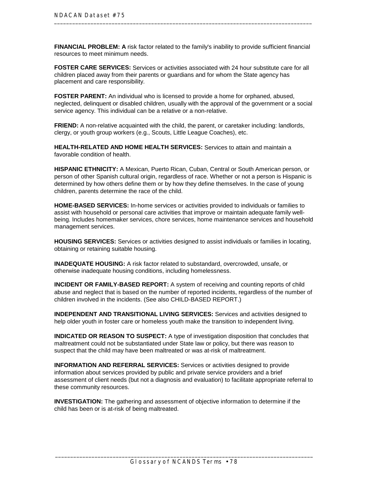**FINANCIAL PROBLEM: A** risk factor related to the family's inability to provide sufficient financial resources to meet minimum needs.

 placement and care responsibility. **FOSTER CARE SERVICES:** Services or activities associated with 24 hour substitute care for all children placed away from their parents or guardians and for whom the State agency has

**FOSTER PARENT:** An individual who is licensed to provide a home for orphaned, abused, neglected, delinquent or disabled children, usually with the approval of the government or a social service agency. This individual can be a relative or a non-relative.

 clergy, or youth group workers (e.g., Scouts, Little League Coaches), etc. **FRIEND:** A non-relative acquainted with the child, the parent, or caretaker including: landlords,

**HEALTH-RELATED AND HOME HEALTH SERVICES:** Services to attain and maintain a favorable condition of health.

**HISPANIC ETHNICITY:** A Mexican, Puerto Rican, Cuban, Central or South American person, or person of other Spanish cultural origin, regardless of race. Whether or not a person is Hispanic is determined by how others define them or by how they define themselves. In the case of young children, parents determine the race of the child.

**HOME-BASED SERVICES:** In-home services or activities provided to individuals or families to assist with household or personal care activities that improve or maintain adequate family wellbeing. Includes homemaker services, chore services, home maintenance services and household management services.

**HOUSING SERVICES:** Services or activities designed to assist individuals or families in locating, obtaining or retaining suitable housing.

 otherwise inadequate housing conditions, including homelessness. **INADEQUATE HOUSING:** A risk factor related to substandard, overcrowded, unsafe, or

 children involved in the incidents. (See also CHILD-BASED REPORT.) **INCIDENT OR FAMILY-BASED REPORT:** A system of receiving and counting reports of child abuse and neglect that is based on the number of reported incidents, regardless of the number of

**INDEPENDENT AND TRANSITIONAL LIVING SERVICES:** Services and activities designed to help older youth in foster care or homeless youth make the transition to independent living.

**INDICATED OR REASON TO SUSPECT:** A type of investigation disposition that concludes that maltreatment could not be substantiated under State law or policy, but there was reason to suspect that the child may have been maltreated or was at-risk of maltreatment.

 these community resources. **INFORMATION AND REFERRAL SERVICES:** Services or activities designed to provide information about services provided by public and private service providers and a brief assessment of client needs (but not a diagnosis and evaluation) to facilitate appropriate referral to

**INVESTIGATION:** The gathering and assessment of objective information to determine if the child has been or is at-risk of being maltreated.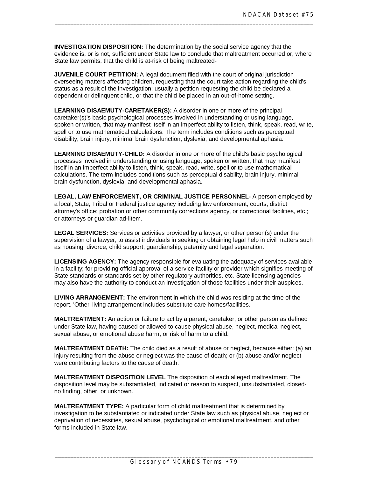State law permits, that the child is at-risk of being maltreated-**INVESTIGATION DISPOSITION:** The determination by the social service agency that the evidence is, or is not, sufficient under State law to conclude that maltreatment occurred or, where

\_\_\_\_\_\_\_\_\_\_\_\_\_\_\_\_\_\_\_\_\_\_\_\_\_\_\_\_\_\_\_\_\_\_\_\_\_\_\_\_\_\_\_\_\_\_\_\_\_\_\_\_\_\_\_\_\_\_\_\_\_\_\_\_\_\_\_\_\_\_\_\_\_\_\_\_\_\_\_\_\_\_\_\_\_

**JUVENILE COURT PETITION:** A legal document filed with the court of original jurisdiction overseeing matters affecting children, requesting that the court take action regarding the child's status as a result of the investigation; usually a petition requesting the child be declared a dependent or delinquent child, or that the child be placed in an out-of-home setting.

**LEARNING DISAEMUTY-CARETAKER(S):** A disorder in one or more of the principal caretaker(s)'s basic psychological processes involved in understanding or using language, spoken or written, that may manifest itself in an imperfect ability to listen, think, speak, read, write, spell or to use mathematical calculations. The term includes conditions such as perceptual disability, brain injury, minimal brain dysfunction, dyslexia, and developmental aphasia.

**LEARNING DISAEMUTY-CHILD:** A disorder in one or more of the child's basic psychological processes involved in understanding or using language, spoken or written, that may manifest itself in an imperfect ability to listen, think, speak, read, write, spell or to use mathematical calculations. The term includes conditions such as perceptual disability, brain injury, minimal brain dysfunction, dyslexia, and developmental aphasia.

**LEGAL, LAW ENFORCEMENT, OR CRIMINAL JUSTICE PERSONNEL-** A person employed by a local, State, Tribal or Federal justice agency including law enforcement; courts; district attorney's office; probation or other community corrections agency, or correctional facilities, etc.; or attorneys or guardian ad-litem.

**LEGAL SERVICES:** Services or activities provided by a lawyer, or other person(s) under the supervision of a lawyer, to assist individuals in seeking or obtaining legal help in civil matters such as housing, divorce, child support, guardianship, paternity and legal separation.

 may also have the authority to conduct an investigation of those facilities under their auspices. **LICENSING AGENCY:** The agency responsible for evaluating the adequacy of services available in a facility; for providing official approval of a service facility or provider which signifies meeting of State standards or standards set by other regulatory authorities, etc. State licensing agencies

 report. 'Other' living arrangement includes substitute care homes/facilities. **LIVING ARRANGEMENT:** The environment in which the child was residing at the time of the

**MALTREATMENT:** An action or failure to act by a parent, caretaker, or other person as defined under State law, having caused or allowed to cause physical abuse, neglect, medical neglect, sexual abuse, or emotional abuse harm, or risk of harm to a child.

**MALTREATMENT DEATH:** The child died as a result of abuse or neglect, because either: (a) an injury resulting from the abuse or neglect was the cause of death; or (b) abuse and/or neglect were contributing factors to the cause of death.

**MALTREATMENT DISPOSITION LEVEL** The disposition of each alleged maltreatment. The disposition level may be substantiated, indicated or reason to suspect, unsubstantiated, closedno finding, other, or unknown.

 forms included in State law. **MALTREATMENT TYPE:** A particular form of child maltreatment that is determined by investigation to be substantiated or indicated under State law such as physical abuse, neglect or deprivation of necessities, sexual abuse, psychological or emotional maltreatment, and other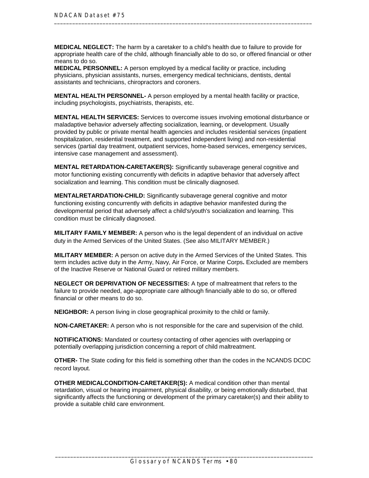**MEDICAL NEGLECT:** The harm by a caretaker to a child's health due to failure to provide for appropriate health care of the child, although financially able to do so, or offered financial or other means to do so.

 assistants and technicians, chiropractors and coroners. **MEDICAL PERSONNEL:** A person employed by a medical facility or practice, including physicians, physician assistants, nurses, emergency medical technicians, dentists, dental

 including psychologists, psychiatrists, therapists, etc. **MENTAL HEALTH PERSONNEL-** A person employed by a mental health facility or practice,

 intensive case management and assessment). **MENTAL HEALTH SERVICES:** Services to overcome issues involving emotional disturbance or maladaptive behavior adversely affecting socialization, learning, or development. Usually provided by public or private mental health agencies and includes residential services (inpatient hospitalization, residential treatment, and supported independent living) and non-residential services (partial day treatment, outpatient services, home-based services, emergency services,

**MENTAL RETARDATION-CARETAKER(S):** Significantly subaverage general cognitive and motor functioning existing concurrently with deficits in adaptive behavior that adversely affect socialization and learning. This condition must be clinically diagnosed.

**MENTALRETARDATION-CHILD:** Significantly subaverage general cognitive and motor functioning existing concurrently with deficits in adaptive behavior manifested during the developmental period that adversely affect a child's/youth's socialization and learning. This condition must be clinically diagnosed.

 duty in the Armed Services of the United States. (See also MILITARY MEMBER.) **MILITARY FAMILY MEMBER:** A person who is the legal dependent of an individual on active

 of the Inactive Reserve or National Guard or retired military members. **MILITARY MEMBER:** A person on active duty in the Armed Services of the United States. This term includes active duty in the Army, Navy, Air Force, or Marine Corps**.** Excluded are members

 financial or other means to do so. **NEGLECT OR DEPRIVATION OF NECESSITIES:** A type of maltreatment that refers to the failure to provide needed, age-appropriate care although financially able to do so, or offered

**NEIGHBOR:** A person living in close geographical proximity to the child or family.

**NON-CARETAKER:** A person who is not responsible for the care and supervision of the child.

**NOTIFICATIONS:** Mandated or courtesy contacting of other agencies with overlapping or potentially overlapping jurisdiction concerning a report of child maltreatment.

**OTHER-** The State coding for this field is something other than the codes in the NCANDS DCDC record layout.

**OTHER MEDICALCONDITION-CARETAKER(S):** A medical condition other than mental retardation, visual or hearing impairment, physical disability, or being emotionally disturbed, that significantly affects the functioning or development of the primary caretaker(s) and their ability to provide a suitable child care environment.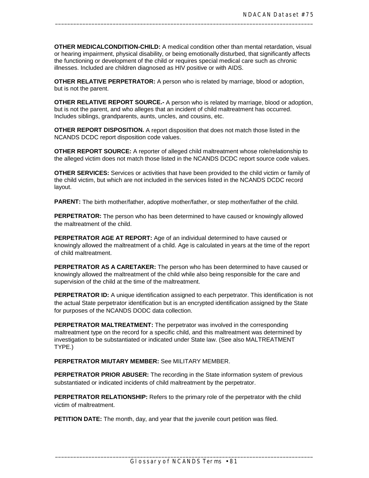**OTHER MEDICALCONDITION-CHILD:** A medical condition other than mental retardation, visual or hearing impairment, physical disability, or being emotionally disturbed, that significantly affects the functioning or development of the child or requires special medical care such as chronic illnesses. Included are children diagnosed as HIV positive or with AIDS.

\_\_\_\_\_\_\_\_\_\_\_\_\_\_\_\_\_\_\_\_\_\_\_\_\_\_\_\_\_\_\_\_\_\_\_\_\_\_\_\_\_\_\_\_\_\_\_\_\_\_\_\_\_\_\_\_\_\_\_\_\_\_\_\_\_\_\_\_\_\_\_\_\_\_\_\_\_\_\_\_\_\_\_\_\_

**OTHER RELATIVE PERPETRATOR:** A person who is related by marriage, blood or adoption, but is not the parent.

**OTHER RELATIVE REPORT SOURCE.-** A person who is related by marriage, blood or adoption, but is not the parent, and who alleges that an incident of child maltreatment has occurred. Includes siblings, grandparents, aunts, uncles, and cousins, etc.

**OTHER REPORT DISPOSITION.** A report disposition that does not match those listed in the NCANDS DCDC report disposition code values.

**OTHER REPORT SOURCE:** A reporter of alleged child maltreatment whose role/relationship to the alleged victim does not match those listed in the NCANDS DCDC report source code values.

**OTHER SERVICES:** Services or activities that have been provided to the child victim or family of the child victim, but which are not included in the services listed in the NCANDS DCDC record layout.

**PARENT:** The birth mother/father, adoptive mother/father, or step mother/father of the child.

**PERPETRATOR:** The person who has been determined to have caused or knowingly allowed the maltreatment of the child.

**PERPETRATOR AGE AT REPORT:** Age of an individual determined to have caused or knowingly allowed the maltreatment of a child. Age is calculated in years at the time of the report of child maltreatment.

**PERPETRATOR AS A CARETAKER:** The person who has been determined to have caused or knowingly allowed the maltreatment of the child while also being responsible for the care and supervision of the child at the time of the maltreatment.

**PERPETRATOR ID:** A unique identification assigned to each perpetrator. This identification is not the actual State perpetrator identification but is an encrypted identification assigned by the State for purposes of the NCANDS DODC data collection.

 TYPE.) **PERPETRATOR MALTREATMENT:** The perpetrator was involved in the corresponding maltreatment type on the record for a specific child, and this maltreatment was determined by investigation to be substantiated or indicated under State law. (See also MALTREATMENT

**PERPETRATOR MIUTARY MEMBER:** See MILITARY MEMBER.

 substantiated or indicated incidents of child maltreatment by the perpetrator. **PERPETRATOR PRIOR ABUSER:** The recording in the State information system of previous

**PERPETRATOR RELATIONSHIP:** Refers to the primary role of the perpetrator with the child victim of maltreatment.

**PETITION DATE:** The month, day, and year that the juvenile court petition was filed.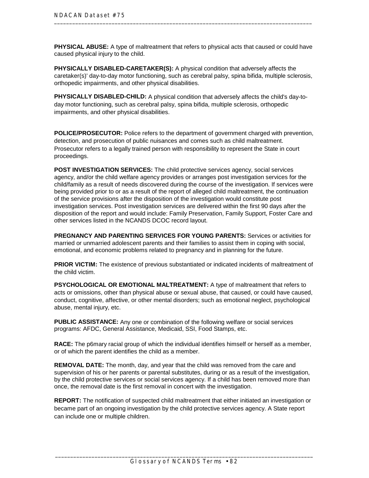**PHYSICAL ABUSE:** A type of maltreatment that refers to physical acts that caused or could have caused physical injury to the child.

 orthopedic impairments, and other physical disabilities. **PHYSICALLY DISABLED-CARETAKER(S):** A physical condition that adversely affects the caretaker(s)' day-to-day motor functioning, such as cerebral palsy, spina bifida, multiple sclerosis,

 impairments, and other physical disabilities. **PHYSICALLY DISABLED-CHILD:** A physical condition that adversely affects the child's day-today motor functioning, such as cerebral palsy, spina bifida, multiple sclerosis, orthopedic

**POLICE/PROSECUTOR:** Police refers to the department of government charged with prevention, detection, and prosecution of public nuisances and comes such as child maltreatment. Prosecutor refers to a legally trained person with responsibility to represent the State in court proceedings.

**POST INVESTIGATION SERVICES:** The child protective services agency, social services agency, and/or the child welfare agency provides or arranges post investigation services for the child/family as a result of needs discovered during the course of the investigation. If services were being provided prior to or as a result of the report of alleged child maltreatment, the continuation of the service provisions after the disposition of the investigation would constitute post investigation services. Post investigation services are delivered within the first 90 days after the disposition of the report and would include: Family Preservation, Family Support, Foster Care and other services listed in the NCANDS DCOC record layout.

**PREGNANCY AND PARENTING SERVICES FOR YOUNG PARENTS:** Services or activities for married or unmarried adolescent parents and their families to assist them in coping with social, emotional, and economic problems related to pregnancy and in planning for the future.

**PRIOR VICTIM:** The existence of previous substantiated or indicated incidents of maltreatment of the child victim.

 abuse, mental injury, etc. **PSYCHOLOGICAL OR EMOTIONAL MALTREATMENT:** A type of maltreatment that refers to acts or omissions, other than physical abuse or sexual abuse, that caused, or could have caused, conduct, cognitive, affective, or other mental disorders; such as emotional neglect, psychological

 programs: AFDC, General Assistance, Medicaid, SSI, Food Stamps, etc. **PUBLIC ASSISTANCE:** Any one or combination of the following welfare or social services

**RACE:** The p6mary racial group of which the individual identifies himself or herself as a member, or of which the parent identifies the child as a member.

**REMOVAL DATE:** The month, day, and year that the child was removed from the care and supervision of his or her parents or parental substitutes, during or as a result of the investigation, by the child protective services or social services agency. If a child has been removed more than once, the removal date is the first removal in concert with the investigation.

**REPORT:** The notification of suspected child maltreatment that either initiated an investigation or became part of an ongoing investigation by the child protective services agency. A State report can include one or multiple children.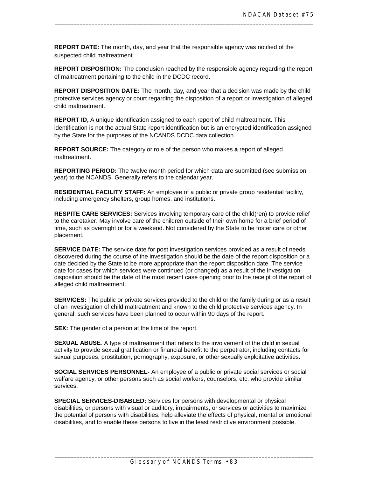**REPORT DATE:** The month, day, and year that the responsible agency was notified of the suspected child maltreatment.

**REPORT DISPOSITION:** The conclusion reached by the responsible agency regarding the report of maltreatment pertaining to the child in the DCDC record.

\_\_\_\_\_\_\_\_\_\_\_\_\_\_\_\_\_\_\_\_\_\_\_\_\_\_\_\_\_\_\_\_\_\_\_\_\_\_\_\_\_\_\_\_\_\_\_\_\_\_\_\_\_\_\_\_\_\_\_\_\_\_\_\_\_\_\_\_\_\_\_\_\_\_\_\_\_\_\_\_\_\_\_\_\_

**REPORT DISPOSITION DATE:** The month, day**,** and year that a decision was made by the child protective services agency or court regarding the disposition of a report or investigation of alleged child maltreatment.

**REPORT ID,** A unique identification assigned to each report of child maltreatment. This identification is not the actual State report identification but is an encrypted identification assigned by the State for the purposes of the NCANDS DCDC data collection.

**REPORT SOURCE:** The category or role of the person who makes **a** report of alleged maltreatment.

**REPORTING PERIOD:** The twelve month period for which data are submitted (see submission year) to the NCANDS. Generally refers to the calendar year.

**RESIDENTIAL FACILITY STAFF:** An employee of a public or private group residential facility, including emergency shelters, group homes, and institutions.

**RESPITE CARE SERVICES:** Services involving temporary care of the child(ren) to provide relief to the caretaker. May involve care of the children outside of their own home for a brief period of time, such as overnight or for a weekend. Not considered by the State to be foster care or other placement.

**SERVICE DATE:** The service date for post investigation services provided as a result of needs discovered during the course of the investigation should be the date of the report disposition or a date decided by the State to be more appropriate than the report disposition date. The service date for cases for which services were continued (or changed) as a result of the investigation disposition should be the date of the most recent case opening prior to the receipt of the report of alleged child maltreatment.

**SERVICES:** The public or private services provided to the child or the family during or as a result of an investigation of child maltreatment and known to the child protective services agency. In general, such services have been planned to occur within 90 days of the report.

**SEX:** The gender of a person at the time of the report.

**SEXUAL ABUSE**. A type of maltreatment that refers to the involvement of the child in sexual activity to provide sexual gratification or financial benefit to the perpetrator, including contacts for sexual purposes, prostitution, pornography, exposure, or other sexually exploitative activities.

 services. **SOCIAL SERVICES PERSONNEL-** An employee of a public or private social services or social welfare agency, or other persons such as social workers, counselors, etc. who provide similar

**SPECIAL SERVICES-DISABLED:** Services for persons with developmental or physical disabilities, or persons with visual or auditory, impairments, or services or activities to maximize the potential of persons with disabilities, help alleviate the effects of physical, mental or emotional disabilities, and to enable these persons to live in the least restrictive environment possible.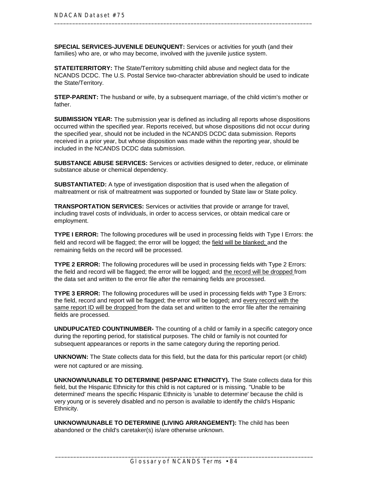**SPECIAL SERVICES-JUVENILE DEUNQUENT:** Services or activities for youth (and their families) who are, or who may become, involved with the juvenile justice system.

**STATEITERRITORY:** The State/Territory submitting child abuse and neglect data for the NCANDS DCDC. The U.S. Postal Service two-character abbreviation should be used to indicate the State/Territory.

**STEP-PARENT:** The husband or wife, by a subsequent marriage, of the child victim's mother or father.

**SUBMISSION YEAR:** The submission year is defined as including all reports whose dispositions occurred within the specified year. Reports received, but whose dispositions did not occur during the specified year, should not be included in the NCANDS DCDC data submission. Reports received in a prior year, but whose disposition was made within the reporting year, should be included in the NCANDS DCDC data submission.

 substance abuse or chemical dependency. **SUBSTANCE ABUSE SERVICES:** Services or activities designed to deter, reduce, or eliminate

 maltreatment or risk of maltreatment was supported or founded by State law or State policy. **SUBSTANTIATED:** A type of investigation disposition that is used when the allegation of

**TRANSPORTATION SERVICES:** Services or activities that provide or arrange for travel, including travel costs of individuals, in order to access services, or obtain medical care or employment.

**TYPE I ERROR:** The following procedures will be used in processing fields with Type I Errors: the field and record will be flagged; the error will be logged; the field will be blanked; and the remaining fields on the record will be processed.

**TYPE 2 ERROR:** The following procedures will be used in processing fields with Type 2 Errors: the field and record will be flagged; the error will be logged; and the record will be dropped from the data set and written to the error file after the remaining fields are processed.

**TYPE 3 ERROR:** The following procedures will be used in processing fields *with* Type 3 Errors: the field, record and report will be flagged; the error will be logged**;** and every record with the same report ID will be dropped from the data set and written to the error file after the remaining fields are processed.

**UNDUPUCATED COUNTINUMBER-** The counting of a child or family in a specific category once during the reporting period, for statistical purposes. The child or family is not counted for subsequent appearances or reports in the same category during the reporting period.

**UNKNOWN:** The State collects data for this field, but the data for this particular report (or child) were not captured or are missing.

**UNKNOWN/UNABLE TO DETERMINE (HISPANIC ETHNICITY).** The State collects data for this field, but the Hispanic Ethnicity for this child is not captured or is missing. "Unable to be determined' means the specific Hispanic Ethnicity is 'unable to determine' because the child is very young or is severely disabled and no person is available to identify the child's Hispanic Ethnicity.

**UNKNOWN/UNABLE TO DETERMINE (LIVING ARRANGEMENT):** The child has been abandoned or the child's caretaker(s) is/are otherwise unknown.